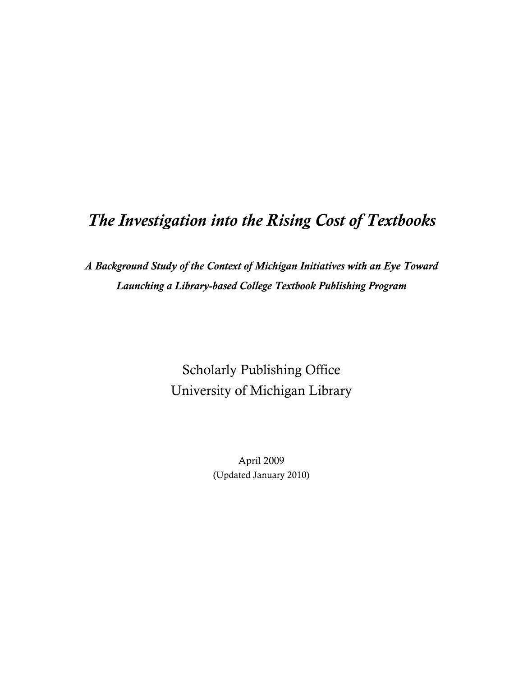# *The Investigation into the Rising Cost of Textbooks*

*A Background Study of the Context of Michigan Initiatives with an Eye Toward Launching a Library-based College Textbook Publishing Program*

> Scholarly Publishing Office University of Michigan Library

> > April 2009 (Updated January 2010)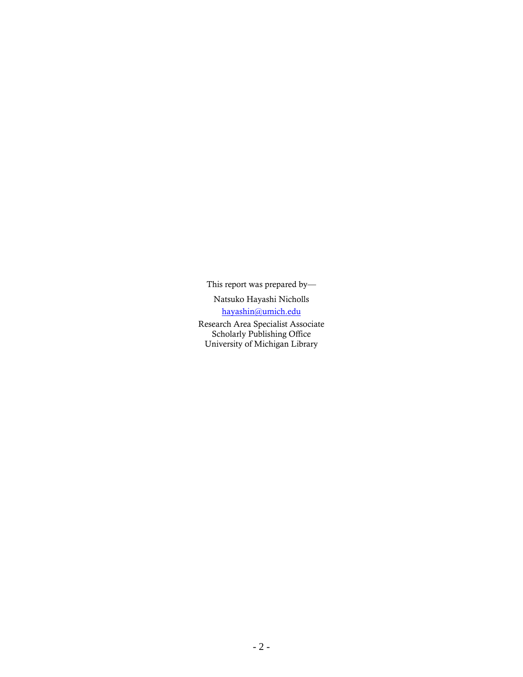This report was prepared by—

Natsuko Hayashi Nicholls

hayashin@umich.edu

Research Area Specialist Associate Scholarly Publishing Office University of Michigan Library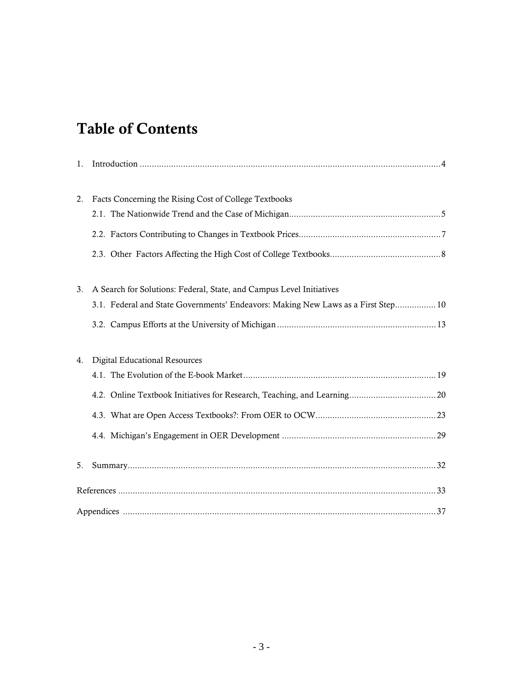# Table of Contents

| 1. |                                                                                   |  |  |  |  |
|----|-----------------------------------------------------------------------------------|--|--|--|--|
| 2. | Facts Concerning the Rising Cost of College Textbooks                             |  |  |  |  |
|    |                                                                                   |  |  |  |  |
|    |                                                                                   |  |  |  |  |
| 3. | A Search for Solutions: Federal, State, and Campus Level Initiatives              |  |  |  |  |
|    | 3.1. Federal and State Governments' Endeavors: Making New Laws as a First Step 10 |  |  |  |  |
|    |                                                                                   |  |  |  |  |
| 4. | <b>Digital Educational Resources</b>                                              |  |  |  |  |
|    |                                                                                   |  |  |  |  |
|    |                                                                                   |  |  |  |  |
|    |                                                                                   |  |  |  |  |
|    |                                                                                   |  |  |  |  |
| 5. |                                                                                   |  |  |  |  |
|    |                                                                                   |  |  |  |  |
|    |                                                                                   |  |  |  |  |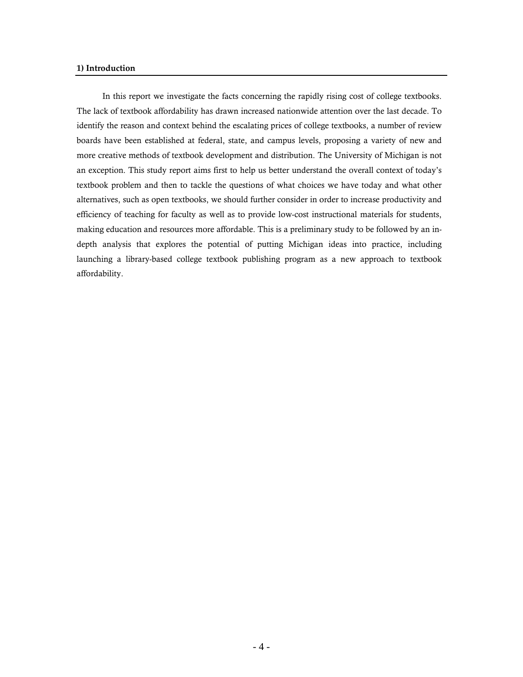### **1) Introduction**

In this report we investigate the facts concerning the rapidly rising cost of college textbooks. The lack of textbook affordability has drawn increased nationwide attention over the last decade. To identify the reason and context behind the escalating prices of college textbooks, a number of review boards have been established at federal, state, and campus levels, proposing a variety of new and more creative methods of textbook development and distribution. The University of Michigan is not an exception. This study report aims first to help us better understand the overall context of today's textbook problem and then to tackle the questions of what choices we have today and what other alternatives, such as open textbooks, we should further consider in order to increase productivity and efficiency of teaching for faculty as well as to provide low-cost instructional materials for students, making education and resources more affordable. This is a preliminary study to be followed by an indepth analysis that explores the potential of putting Michigan ideas into practice, including launching a library-based college textbook publishing program as a new approach to textbook affordability.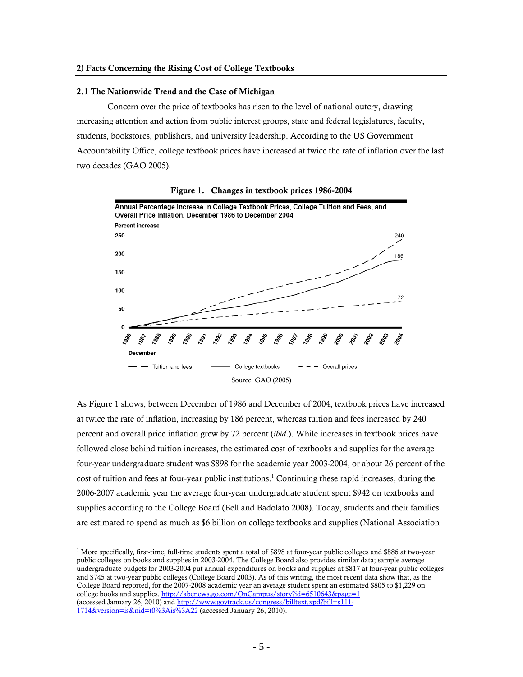#### 2.1 The Nationwide Trend and the Case of Michigan

 $\overline{a}$ 

Concern over the price of textbooks has risen to the level of national outcry, drawing increasing attention and action from public interest groups, state and federal legislatures, faculty, students, bookstores, publishers, and university leadership. According to the US Government Accountability Office, college textbook prices have increased at twice the rate of inflation over the last two decades (GAO 2005).



Figure 1. Changes in textbook prices 1986-2004

As Figure 1 shows, between December of 1986 and December of 2004, textbook prices have increased at twice the rate of inflation, increasing by 186 percent, whereas tuition and fees increased by 240 percent and overall price inflation grew by 72 percent (*ibid*.). While increases in textbook prices have followed close behind tuition increases, the estimated cost of textbooks and supplies for the average four-year undergraduate student was \$898 for the academic year 2003-2004, or about 26 percent of the cost of tuition and fees at four-year public institutions.<sup>1</sup> Continuing these rapid increases, during the 2006-2007 academic year the average four-year undergraduate student spent \$942 on textbooks and supplies according to the College Board (Bell and Badolato 2008). Today, students and their families are estimated to spend as much as \$6 billion on college textbooks and supplies (National Association

<sup>&</sup>lt;sup>1</sup> More specifically, first-time, full-time students spent a total of \$898 at four-year public colleges and \$886 at two-year public colleges on books and supplies in 2003-2004. The College Board also provides similar data; sample average undergraduate budgets for 2003-2004 put annual expenditures on books and supplies at \$817 at four-year public colleges and \$745 at two-year public colleges (College Board 2003). As of this writing, the most recent data show that, as the College Board reported, for the 2007-2008 academic year an average student spent an estimated \$805 to \$1,229 on college books and supplies. http://abcnews.go.com/OnCampus/story?id=6510643&page=1 (accessed January 26, 2010) and http://www.govtrack.us/congress/billtext.xpd?bill=s111-1714&version=is&nid=t0%3Ais%3A22 (accessed January 26, 2010).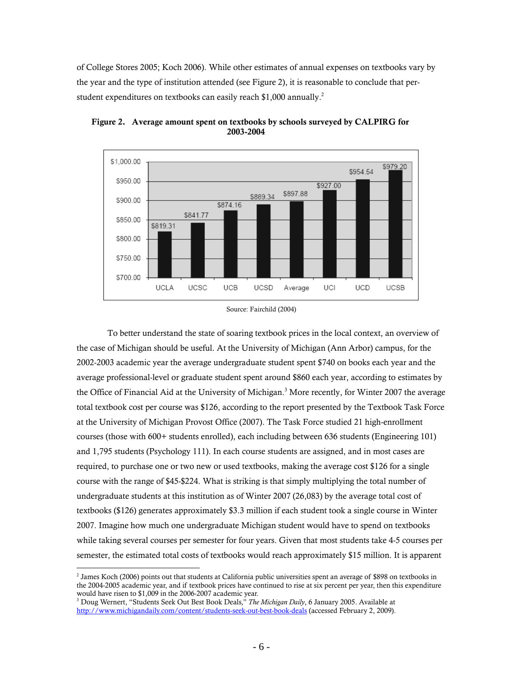of College Stores 2005; Koch 2006). While other estimates of annual expenses on textbooks vary by the year and the type of institution attended (see Figure 2), it is reasonable to conclude that perstudent expenditures on textbooks can easily reach \$1,000 annually.<sup>2</sup>



 Figure 2. Average amount spent on textbooks by schools surveyed by CALPIRG for 2003-2004

To better understand the state of soaring textbook prices in the local context, an overview of the case of Michigan should be useful. At the University of Michigan (Ann Arbor) campus, for the 2002-2003 academic year the average undergraduate student spent \$740 on books each year and the average professional-level or graduate student spent around \$860 each year, according to estimates by the Office of Financial Aid at the University of Michigan.<sup>3</sup> More recently, for Winter 2007 the average total textbook cost per course was \$126, according to the report presented by the Textbook Task Force at the University of Michigan Provost Office (2007). The Task Force studied 21 high-enrollment courses (those with 600+ students enrolled), each including between 636 students (Engineering 101) and 1,795 students (Psychology 111). In each course students are assigned, and in most cases are required, to purchase one or two new or used textbooks, making the average cost \$126 for a single course with the range of \$45-\$224. What is striking is that simply multiplying the total number of undergraduate students at this institution as of Winter 2007 (26,083) by the average total cost of textbooks (\$126) generates approximately \$3.3 million if each student took a single course in Winter 2007. Imagine how much one undergraduate Michigan student would have to spend on textbooks while taking several courses per semester for four years. Given that most students take 4-5 courses per semester, the estimated total costs of textbooks would reach approximately \$15 million. It is apparent

Source: Fairchild (2004)

<sup>&</sup>lt;sup>2</sup> James Koch (2006) points out that students at California public universities spent an average of \$898 on textbooks in the 2004-2005 academic year, and if textbook prices have continued to rise at six percent per year, then this expenditure would have risen to \$1,009 in the 2006-2007 academic year.

<sup>3</sup> Doug Wernert, "Students Seek Out Best Book Deals," *The Michigan Daily*, 6 January 2005. Available at http://www.michigandaily.com/content/students-seek-out-best-book-deals (accessed February 2, 2009).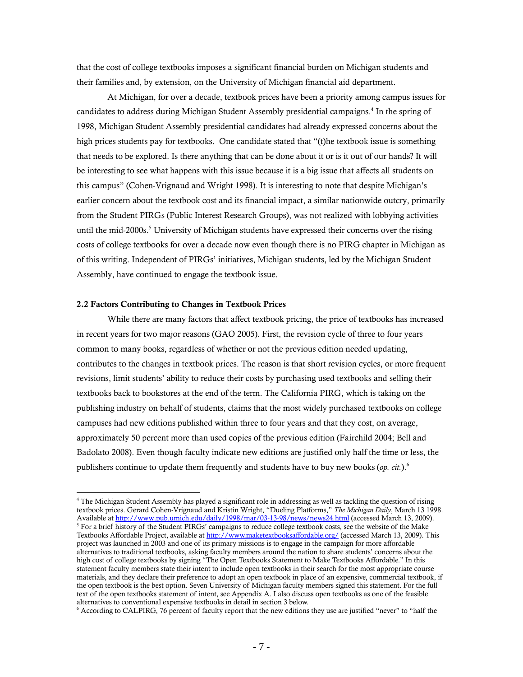that the cost of college textbooks imposes a significant financial burden on Michigan students and their families and, by extension, on the University of Michigan financial aid department.

At Michigan, for over a decade, textbook prices have been a priority among campus issues for candidates to address during Michigan Student Assembly presidential campaigns.<sup>4</sup> In the spring of 1998, Michigan Student Assembly presidential candidates had already expressed concerns about the high prices students pay for textbooks. One candidate stated that "(t)he textbook issue is something that needs to be explored. Is there anything that can be done about it or is it out of our hands? It will be interesting to see what happens with this issue because it is a big issue that affects all students on this campus" (Cohen-Vrignaud and Wright 1998). It is interesting to note that despite Michigan's earlier concern about the textbook cost and its financial impact, a similar nationwide outcry, primarily from the Student PIRGs (Public Interest Research Groups), was not realized with lobbying activities until the mid-2000s.<sup>5</sup> University of Michigan students have expressed their concerns over the rising costs of college textbooks for over a decade now even though there is no PIRG chapter in Michigan as of this writing. Independent of PIRGs' initiatives, Michigan students, led by the Michigan Student Assembly, have continued to engage the textbook issue.

#### 2.2 Factors Contributing to Changes in Textbook Prices

 $\overline{a}$ 

While there are many factors that affect textbook pricing, the price of textbooks has increased in recent years for two major reasons (GAO 2005). First, the revision cycle of three to four years common to many books, regardless of whether or not the previous edition needed updating, contributes to the changes in textbook prices. The reason is that short revision cycles, or more frequent revisions, limit students' ability to reduce their costs by purchasing used textbooks and selling their textbooks back to bookstores at the end of the term. The California PIRG, which is taking on the publishing industry on behalf of students, claims that the most widely purchased textbooks on college campuses had new editions published within three to four years and that they cost, on average, approximately 50 percent more than used copies of the previous edition (Fairchild 2004; Bell and Badolato 2008). Even though faculty indicate new editions are justified only half the time or less, the publishers continue to update them frequently and students have to buy new books (*op. cit.*).6

<sup>4</sup> The Michigan Student Assembly has played a significant role in addressing as well as tackling the question of rising textbook prices. Gerard Cohen-Vrignaud and Kristin Wright, "Dueling Platforms," *The Michigan Daily*, March 13 1998. Available at <u>http://www.pub.umich.edu/daily/1998/mar/03-13-98/news/news24.html</u> (accessed March 13, 2009).<br><sup>5</sup> For a brief history of the Student PIPGs' cumpaigns to reduce college textbook costs, see the website of the M <sup>5</sup> For a brief history of the Student PIRGs' campaigns to reduce college textbook costs, see the website of the Make Textbooks Affordable Project, available at http://www.maketextbooksaffordable.org/ (accessed March 13, 2009). This project was launched in 2003 and one of its primary missions is to engage in the campaign for more affordable alternatives to traditional textbooks, asking faculty members around the nation to share students' concerns about the high cost of college textbooks by signing "The Open Textbooks Statement to Make Textbooks Affordable." In this statement faculty members state their intent to include open textbooks in their search for the most appropriate course materials, and they declare their preference to adopt an open textbook in place of an expensive, commercial textbook, if the open textbook is the best option. Seven University of Michigan faculty members signed this statement. For the full text of the open textbooks statement of intent, see Appendix A. I also discuss open textbooks as one of the feasible alternatives to conventional expensive textbooks in detail in section 3 below. 6

According to CALPIRG, 76 percent of faculty report that the new editions they use are justified "never" to "half the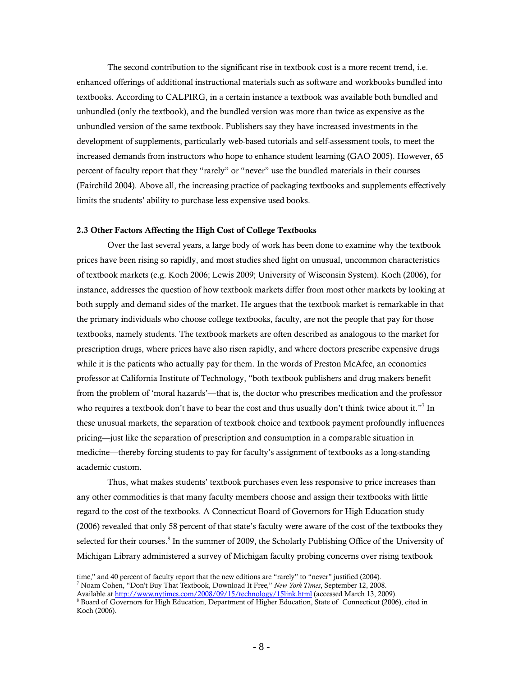The second contribution to the significant rise in textbook cost is a more recent trend, i.e. enhanced offerings of additional instructional materials such as software and workbooks bundled into textbooks. According to CALPIRG, in a certain instance a textbook was available both bundled and unbundled (only the textbook), and the bundled version was more than twice as expensive as the unbundled version of the same textbook. Publishers say they have increased investments in the development of supplements, particularly web-based tutorials and self-assessment tools, to meet the increased demands from instructors who hope to enhance student learning (GAO 2005). However, 65 percent of faculty report that they "rarely" or "never" use the bundled materials in their courses (Fairchild 2004). Above all, the increasing practice of packaging textbooks and supplements effectively limits the students' ability to purchase less expensive used books.

#### 2.3 Other Factors Affecting the High Cost of College Textbooks

Over the last several years, a large body of work has been done to examine why the textbook prices have been rising so rapidly, and most studies shed light on unusual, uncommon characteristics of textbook markets (e.g. Koch 2006; Lewis 2009; University of Wisconsin System). Koch (2006), for instance, addresses the question of how textbook markets differ from most other markets by looking at both supply and demand sides of the market. He argues that the textbook market is remarkable in that the primary individuals who choose college textbooks, faculty, are not the people that pay for those textbooks, namely students. The textbook markets are often described as analogous to the market for prescription drugs, where prices have also risen rapidly, and where doctors prescribe expensive drugs while it is the patients who actually pay for them. In the words of Preston McAfee, an economics professor at California Institute of Technology, "both textbook publishers and drug makers benefit from the problem of 'moral hazards'—that is, the doctor who prescribes medication and the professor who requires a textbook don't have to bear the cost and thus usually don't think twice about it."<sup>7</sup> In these unusual markets, the separation of textbook choice and textbook payment profoundly influences pricing—just like the separation of prescription and consumption in a comparable situation in medicine—thereby forcing students to pay for faculty's assignment of textbooks as a long-standing academic custom.

Thus, what makes students' textbook purchases even less responsive to price increases than any other commodities is that many faculty members choose and assign their textbooks with little regard to the cost of the textbooks. A Connecticut Board of Governors for High Education study (2006) revealed that only 58 percent of that state's faculty were aware of the cost of the textbooks they selected for their courses.<sup>8</sup> In the summer of 2009, the Scholarly Publishing Office of the University of Michigan Library administered a survey of Michigan faculty probing concerns over rising textbook  $\overline{a}$ 

time," and 40 percent of faculty report that the new editions are "rarely" to "never" justified (2004). 7 Noam Cohen, "Don't Buy That Textbook, Download It Free," *New York Times*, September 12, 2008. Available at http://www.nytimes.com/2008/09/15/technology/15link.html (accessed March 13, 2009).

<sup>&</sup>lt;sup>8</sup> Board of Governors for High Education, Department of Higher Education, State of Connecticut (2006), cited in Koch (2006).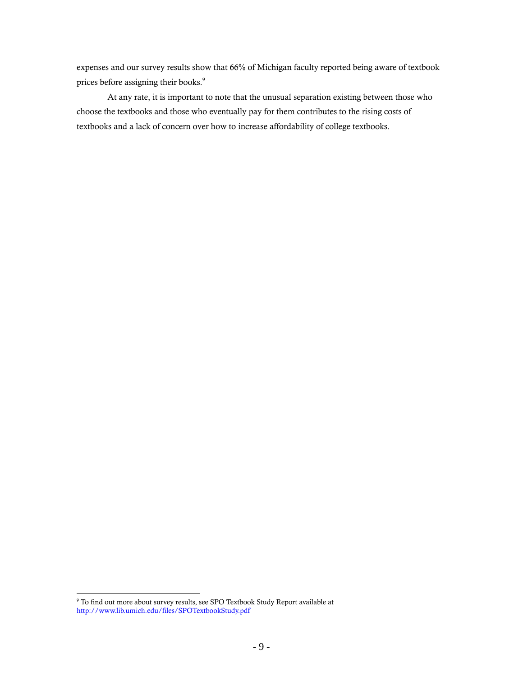expenses and our survey results show that 66% of Michigan faculty reported being aware of textbook prices before assigning their books.<sup>9</sup>

At any rate, it is important to note that the unusual separation existing between those who choose the textbooks and those who eventually pay for them contributes to the rising costs of textbooks and a lack of concern over how to increase affordability of college textbooks.

 9 To find out more about survey results, see SPO Textbook Study Report available at http://www.lib.umich.edu/files/SPOTextbookStudy.pdf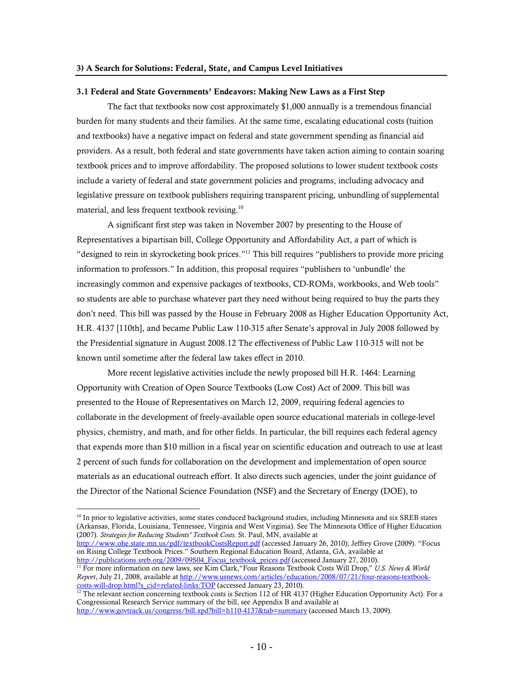#### 3.1 Federal and State Governments' Endeavors: Making New Laws as a First Step

The fact that textbooks now cost approximately \$1,000 annually is a tremendous financial burden for many students and their families. At the same time, escalating educational costs (tuition and textbooks) have a negative impact on federal and state government spending as financial aid providers. As a result, both federal and state governments have taken action aiming to contain soaring textbook prices and to improve affordability. The proposed solutions to lower student textbook costs include a variety of federal and state government policies and programs, including advocacy and legislative pressure on textbook publishers requiring transparent pricing, unbundling of supplemental material, and less frequent textbook revising.<sup>10</sup>

A significant first step was taken in November 2007 by presenting to the House of Representatives a bipartisan bill, College Opportunity and Affordability Act, a part of which is "designed to rein in skyrocketing book prices."11 This bill requires "publishers to provide more pricing information to professors." In addition, this proposal requires "publishers to 'unbundle' the increasingly common and expensive packages of textbooks, CD-ROMs, workbooks, and Web tools" so students are able to purchase whatever part they need without being required to buy the parts they don't need. This bill was passed by the House in February 2008 as Higher Education Opportunity Act, H.R. 4137 [110th], and became Public Law 110-315 after Senate's approval in July 2008 followed by the Presidential signature in August 2008.12 The effectiveness of Public Law 110-315 will not be known until sometime after the federal law takes effect in 2010.

More recent legislative activities include the newly proposed bill H.R. 1464: Learning Opportunity with Creation of Open Source Textbooks (Low Cost) Act of 2009. This bill was presented to the House of Representatives on March 12, 2009, requiring federal agencies to collaborate in the development of freely-available open source educational materials in college-level physics, chemistry, and math, and for other fields. In particular, the bill requires each federal agency that expends more than \$10 million in a fiscal year on scientific education and outreach to use at least 2 percent of such funds for collaboration on the development and implementation of open source materials as an educational outreach effort. It also directs such agencies, under the joint guidance of the Director of the National Science Foundation (NSF) and the Secretary of Energy (DOE), to

 $\overline{a}$ 

http://www.ohe.state.mn.us/pdf/textbookCostsReport.pdf (accessed January 26, 2010); Jeffrey Grove (2009). "Focus on Rising College Textbook Prices." Southern Regional Education Board, Atlanta, GA, available at http://publications.sreb.org/2009/09S04 Focus textbook prices.pdf (accessed January 27, 2010).

<sup>&</sup>lt;sup>10</sup> In prior to legislative activities, some states conduced background studies, including Minnesota and six SREB states (Arkansas, Florida, Louisiana, Tennessee, Virginia and West Virginia). See The Minnesota Office of Higher Education (2007). *Strategies for Reducing Students' Textbook Costs.* St. Paul, MN, available at

<sup>&</sup>lt;sup>11</sup> For more information on new laws, see Kim Clark, "Four Reasons Textbook Costs Will Drop," *U.S. News & World Report*, July 21, 2008, available at http://www.usnews.com/articles/education/2008/07/21/four-reasons-textbookcosts-will-drop.html?s\_cid=related-links:TOP (accessed January 23, 2010). 12 The relevant section concerning textbook costs is Section 112 of HR 4137 (Higher Education Opportunity Act). For a

Congressional Research Service summary of the bill, see Appendix B and available at http://www.govtrack.us/congress/bill.xpd?bill=h110-4137&tab=summary (accessed March 13, 2009).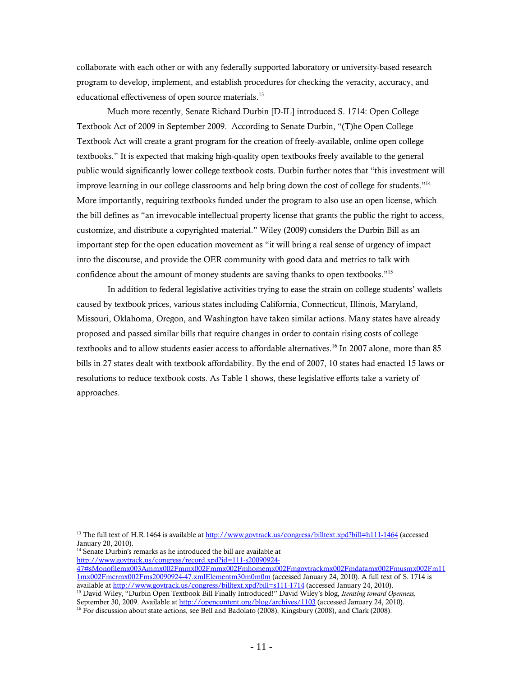collaborate with each other or with any federally supported laboratory or university-based research program to develop, implement, and establish procedures for checking the veracity, accuracy, and educational effectiveness of open source materials.<sup>13</sup>

Much more recently, Senate Richard Durbin [D-IL] introduced S. 1714: Open College Textbook Act of 2009 in September 2009. According to Senate Durbin, "(T)he Open College Textbook Act will create a grant program for the creation of freely-available, online open college textbooks." It is expected that making high-quality open textbooks freely available to the general public would significantly lower college textbook costs. Durbin further notes that "this investment will improve learning in our college classrooms and help bring down the cost of college for students."<sup>14</sup> More importantly, requiring textbooks funded under the program to also use an open license, which the bill defines as "an irrevocable intellectual property license that grants the public the right to access, customize, and distribute a copyrighted material." Wiley (2009) considers the Durbin Bill as an important step for the open education movement as "it will bring a real sense of urgency of impact into the discourse, and provide the OER community with good data and metrics to talk with confidence about the amount of money students are saving thanks to open textbooks."15

In addition to federal legislative activities trying to ease the strain on college students' wallets caused by textbook prices, various states including California, Connecticut, Illinois, Maryland, Missouri, Oklahoma, Oregon, and Washington have taken similar actions. Many states have already proposed and passed similar bills that require changes in order to contain rising costs of college textbooks and to allow students easier access to affordable alternatives.<sup>16</sup> In 2007 alone, more than 85 bills in 27 states dealt with textbook affordability. By the end of 2007, 10 states had enacted 15 laws or resolutions to reduce textbook costs. As Table 1 shows, these legislative efforts take a variety of approaches.

<sup>14</sup> Senate Durbin's remarks as he introduced the bill are available at http://www.govtrack.us/congress/record.xpd?id=111-s20090924-

<sup>&</sup>lt;sup>13</sup> The full text of H.R.1464 is available at http://www.govtrack.us/congress/billtext.xpd?bill=h111-1464 (accessed January 20, 2010).

<sup>47#</sup>sMonofilemx003Ammx002Fmmx002Fmmx002Fmhomemx002Fmgovtrackmx002Fmdatamx002Fmusmx002Fm11 1mx002Fmcrmx002Fms20090924-47.xmlElementm30m0m0m (accessed January 24, 2010). A full text of S. 1714 is <sup>15</sup> David Wiley, "Durbin Open Textbook Bill Finally Introduced!" David Wiley's blog, *Iterating toward Openness*,

September 30, 2009. Available at http://opencontent.org/blog/archives/1103 (accessed January 24, 2010).

<sup>&</sup>lt;sup>16</sup> For discussion about state actions, see Bell and Badolato (2008), Kingsbury (2008), and Clark (2008).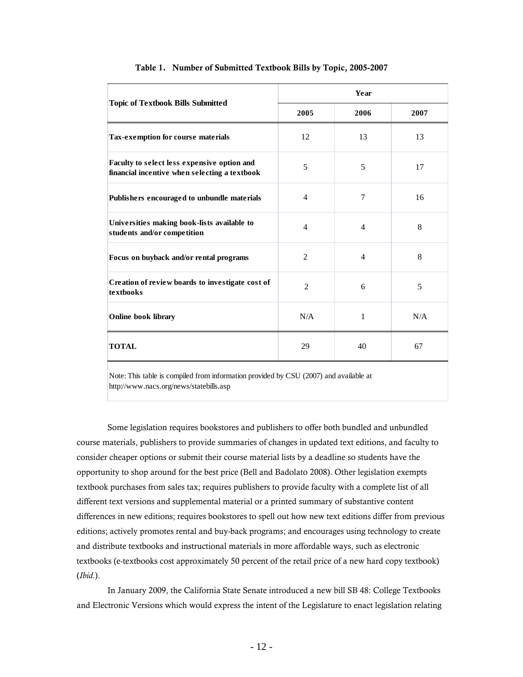|                                                                                              | Year           |                |      |
|----------------------------------------------------------------------------------------------|----------------|----------------|------|
| <b>Topic of Textbook Bills Submitted</b>                                                     | 2005           | 2006           | 2007 |
| Tax-exemption for course materials                                                           | 12             | 13             | 13   |
| Faculty to select less expensive option and<br>financial incentive when selecting a textbook | 5              | 5              | 17   |
| Publishers encouraged to unbundle materials                                                  | $\overline{4}$ | $\overline{7}$ | 16   |
| Universities making book-lists available to<br>students and/or competition                   | $\overline{4}$ | $\overline{4}$ | 8    |
| Focus on buyback and/or rental programs                                                      | $\overline{2}$ | $\overline{4}$ | 8    |
| Creation of review boards to investigate cost of<br>textbooks                                | $\overline{2}$ | 6              | 5    |
| Online book library                                                                          | N/A            | 1              | N/A  |
| <b>TOTAL</b>                                                                                 | 29             | 40             | 67   |

#### Table 1. Number of Submitted Textbook Bills by Topic, 2005-2007

Note: This table is compiled from information provided by CSU (2007) and available at http://www.nacs.org/news/statebills.asp

Some legislation requires bookstores and publishers to offer both bundled and unbundled course materials, publishers to provide summaries of changes in updated text editions, and faculty to consider cheaper options or submit their course material lists by a deadline so students have the opportunity to shop around for the best price (Bell and Badolato 2008). Other legislation exempts textbook purchases from sales tax; requires publishers to provide faculty with a complete list of all different text versions and supplemental material or a printed summary of substantive content differences in new editions; requires bookstores to spell out how new text editions differ from previous editions; actively promotes rental and buy-back programs; and encourages using technology to create and distribute textbooks and instructional materials in more affordable ways, such as electronic textbooks (e-textbooks cost approximately 50 percent of the retail price of a new hard copy textbook) (*Ibid.*).

In January 2009, the California State Senate introduced a new bill SB 48: College Textbooks and Electronic Versions which would express the intent of the Legislature to enact legislation relating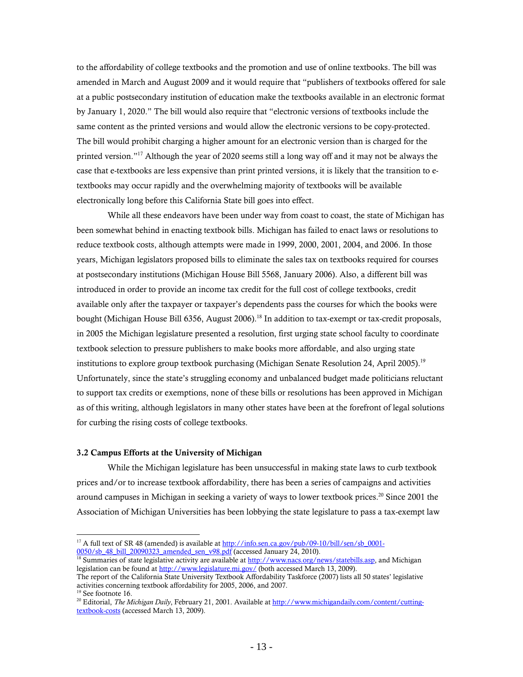to the affordability of college textbooks and the promotion and use of online textbooks. The bill was amended in March and August 2009 and it would require that "publishers of textbooks offered for sale at a public postsecondary institution of education make the textbooks available in an electronic format by January 1, 2020." The bill would also require that "electronic versions of textbooks include the same content as the printed versions and would allow the electronic versions to be copy-protected. The bill would prohibit charging a higher amount for an electronic version than is charged for the printed version."17 Although the year of 2020 seems still a long way off and it may not be always the case that e-textbooks are less expensive than print printed versions, it is likely that the transition to etextbooks may occur rapidly and the overwhelming majority of textbooks will be available electronically long before this California State bill goes into effect.

While all these endeavors have been under way from coast to coast, the state of Michigan has been somewhat behind in enacting textbook bills. Michigan has failed to enact laws or resolutions to reduce textbook costs, although attempts were made in 1999, 2000, 2001, 2004, and 2006. In those years, Michigan legislators proposed bills to eliminate the sales tax on textbooks required for courses at postsecondary institutions (Michigan House Bill 5568, January 2006). Also, a different bill was introduced in order to provide an income tax credit for the full cost of college textbooks, credit available only after the taxpayer or taxpayer's dependents pass the courses for which the books were bought (Michigan House Bill 6356, August 2006).<sup>18</sup> In addition to tax-exempt or tax-credit proposals, in 2005 the Michigan legislature presented a resolution, first urging state school faculty to coordinate textbook selection to pressure publishers to make books more affordable, and also urging state institutions to explore group textbook purchasing (Michigan Senate Resolution 24, April 2005).<sup>19</sup> Unfortunately, since the state's struggling economy and unbalanced budget made politicians reluctant to support tax credits or exemptions, none of these bills or resolutions has been approved in Michigan as of this writing, although legislators in many other states have been at the forefront of legal solutions for curbing the rising costs of college textbooks.

#### 3.2 Campus Efforts at the University of Michigan

While the Michigan legislature has been unsuccessful in making state laws to curb textbook prices and/or to increase textbook affordability, there has been a series of campaigns and activities around campuses in Michigan in seeking a variety of ways to lower textbook prices.<sup>20</sup> Since 2001 the Association of Michigan Universities has been lobbying the state legislature to pass a tax-exempt law

 $\overline{a}$ <sup>17</sup> A full text of SR 48 (amended) is available at  $\frac{http://info.sen.ca.gov/public/09-10/bill/sen/sb_0001-0050/sb_48 \text{ bill } 20090323 \text{ amended sen } v98.pdf}$  (accessed January 24, 2010).

<sup>&</sup>lt;sup>18</sup> Summaries of state legislative activity are available at http://www.nacs.org/news/statebills.asp, and Michigan legislation can be found at http://www.legislature.mi.gov/ (both accessed March 13, 2009).

The report of the California State University Textbook Affordability Taskforce (2007) lists all 50 states' legislative activities concerning textbook affordability for 2005, 2006, and 2007. 19 See footnote 16.

<sup>&</sup>lt;sup>20</sup> Editorial, *The Michigan Daily*, February 21, 2001. Available at http://www.michigandaily.com/content/cuttingtextbook-costs (accessed March 13, 2009).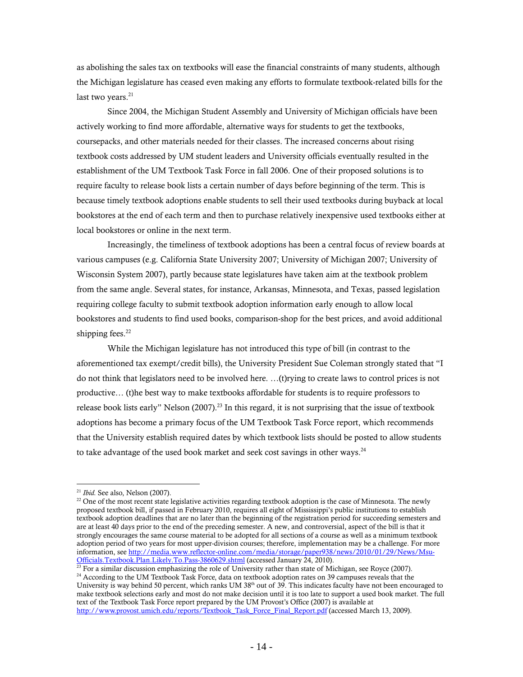as abolishing the sales tax on textbooks will ease the financial constraints of many students, although the Michigan legislature has ceased even making any efforts to formulate textbook-related bills for the last two years. $21$ 

Since 2004, the Michigan Student Assembly and University of Michigan officials have been actively working to find more affordable, alternative ways for students to get the textbooks, coursepacks, and other materials needed for their classes. The increased concerns about rising textbook costs addressed by UM student leaders and University officials eventually resulted in the establishment of the UM Textbook Task Force in fall 2006. One of their proposed solutions is to require faculty to release book lists a certain number of days before beginning of the term. This is because timely textbook adoptions enable students to sell their used textbooks during buyback at local bookstores at the end of each term and then to purchase relatively inexpensive used textbooks either at local bookstores or online in the next term.

Increasingly, the timeliness of textbook adoptions has been a central focus of review boards at various campuses (e.g. California State University 2007; University of Michigan 2007; University of Wisconsin System 2007), partly because state legislatures have taken aim at the textbook problem from the same angle. Several states, for instance, Arkansas, Minnesota, and Texas, passed legislation requiring college faculty to submit textbook adoption information early enough to allow local bookstores and students to find used books, comparison-shop for the best prices, and avoid additional shipping fees.<sup>22</sup>

While the Michigan legislature has not introduced this type of bill (in contrast to the aforementioned tax exempt/credit bills), the University President Sue Coleman strongly stated that "I do not think that legislators need to be involved here. …(t)rying to create laws to control prices is not productive… (t)he best way to make textbooks affordable for students is to require professors to release book lists early" Nelson (2007).<sup>23</sup> In this regard, it is not surprising that the issue of textbook adoptions has become a primary focus of the UM Textbook Task Force report, which recommends that the University establish required dates by which textbook lists should be posted to allow students to take advantage of the used book market and seek cost savings in other ways. $^{24}$ 

<sup>&</sup>lt;sup>21</sup> *Ibid.* See also, Nelson (2007).<br><sup>22</sup> One of the most recent state legislative activities regarding textbook adoption is the case of Minnesota. The newly proposed textbook bill, if passed in February 2010, requires all eight of Mississippi's public institutions to establish textbook adoption deadlines that are no later than the beginning of the registration period for succeeding semesters and are at least 40 days prior to the end of the preceding semester. A new, and controversial, aspect of the bill is that it strongly encourages the same course material to be adopted for all sections of a course as well as a minimum textbook adoption period of two years for most upper-division courses; therefore, implementation may be a challenge. For more information, see http://media.www.reflector-online.com/media/storage/paper938/news/2010/01/29/News/Msu-

Officials.Textbook.Plan.Likely.To.Pass-3860629.shtml (accessed January 24, 2010).<br><sup>23</sup> For a similar discussion emphasizing the role of University rather than state of Michigan, see Royce (2007).<br><sup>24</sup> According to the UM T

<sup>&</sup>lt;sup>24</sup> According to the UM Textbook Task Force, data on textbook adoption rates on 39 campuses reveals that the University is way behind 50 percent, which ranks UM 38<sup>th</sup> out of 39. This indicates faculty have not been enco make textbook selections early and most do not make decision until it is too late to support a used book market. The full text of the Textbook Task Force report prepared by the UM Provost's Office (2007) is available at http://www.provost.umich.edu/reports/Textbook\_Task\_Force\_Final\_Report.pdf (accessed March 13, 2009).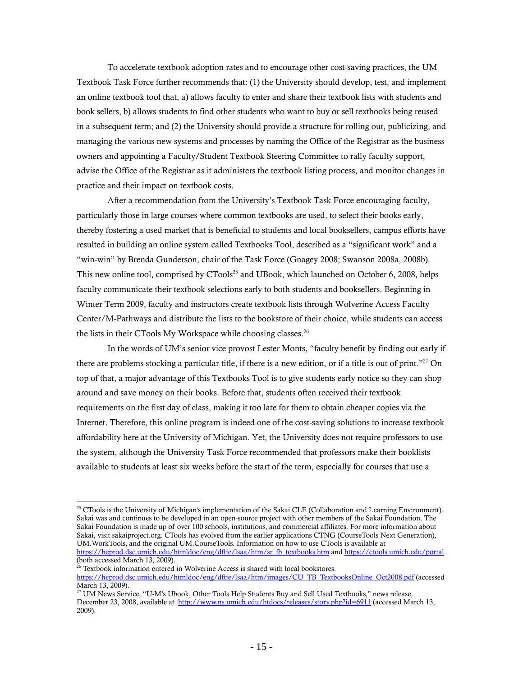To accelerate textbook adoption rates and to encourage other cost-saving practices, the UM Textbook Task Force further recommends that: (1) the University should develop, test, and implement an online textbook tool that, a) allows faculty to enter and share their textbook lists with students and book sellers, b) allows students to find other students who want to buy or sell textbooks being reused in a subsequent term; and (2) the University should provide a structure for rolling out, publicizing, and managing the various new systems and processes by naming the Office of the Registrar as the business owners and appointing a Faculty/Student Textbook Steering Committee to rally faculty support, advise the Office of the Registrar as it administers the textbook listing process, and monitor changes in practice and their impact on textbook costs.

After a recommendation from the University's Textbook Task Force encouraging faculty, particularly those in large courses where common textbooks are used, to select their books early, thereby fostering a used market that is beneficial to students and local booksellers, campus efforts have resulted in building an online system called Textbooks Tool, described as a "significant work" and a "win-win" by Brenda Gunderson, chair of the Task Force (Gnagey 2008; Swanson 2008a, 2008b). This new online tool, comprised by CTools<sup>25</sup> and UBook, which launched on October 6, 2008, helps faculty communicate their textbook selections early to both students and booksellers. Beginning in Winter Term 2009, faculty and instructors create textbook lists through Wolverine Access Faculty Center/M-Pathways and distribute the lists to the bookstore of their choice, while students can access the lists in their CTools My Workspace while choosing classes.<sup>26</sup>

In the words of UM's senior vice provost Lester Monts, "faculty benefit by finding out early if there are problems stocking a particular title, if there is a new edition, or if a title is out of print."27 On top of that, a major advantage of this Textbooks Tool is to give students early notice so they can shop around and save money on their books. Before that, students often received their textbook requirements on the first day of class, making it too late for them to obtain cheaper copies via the Internet. Therefore, this online program is indeed one of the cost-saving solutions to increase textbook affordability here at the University of Michigan. Yet, the University does not require professors to use the system, although the University Task Force recommended that professors make their booklists available to students at least six weeks before the start of the term, especially for courses that use a

<sup>&</sup>lt;sup>25</sup> CTools is the University of Michigan's implementation of the Sakai CLE (Collaboration and Learning Environment). Sakai was and continues to be developed in an open-source project with other members of the Sakai Foundation. The Sakai Foundation is made up of over 100 schools, institutions, and commercial affiliates. For more information about Sakai, visit sakaiproject.org. CTools has evolved from the earlier applications CTNG (CourseTools Next Generation), UM.WorkTools, and the original UM.CourseTools. Information on how to use CTools is available at https://heprod.dsc.umich.edu/htmldoc/eng/dftie/lsaa/htm/sr\_fb\_textbooks.htm and https://ctools.umich.edu/portal  $\frac{1}{\text{(both accessed March 13, 2009)}}$ 

Textbook information entered in Wolverine Access is shared with local bookstores.

https://heprod.dsc.umich.edu/htmldoc/eng/dftie/lsaa/htm/images/CU\_TB\_TextbooksOnline\_Oct2008.pdf (accessed March 13, 2009).

<sup>&</sup>lt;sup>27</sup> UM News Service, "U-M's Ubook, Other Tools Help Students Buy and Sell Used Textbooks," news release, December 23, 2008, available at http://www.ns.umich.edu/htdocs/releases/story.php?id=6911 (accessed March 13, 2009).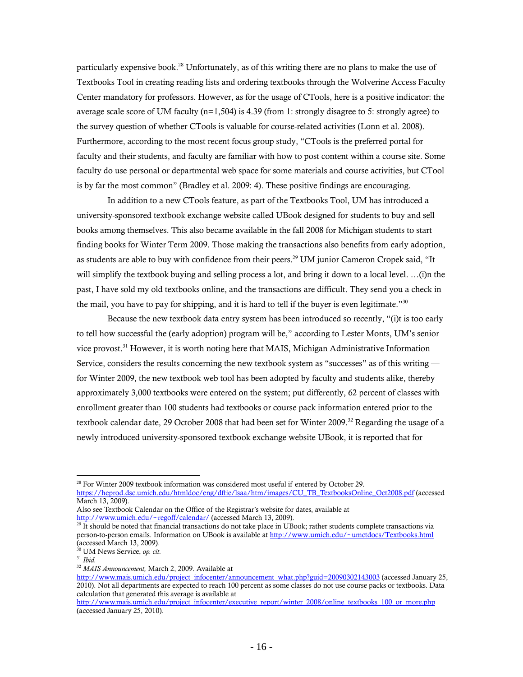particularly expensive book.<sup>28</sup> Unfortunately, as of this writing there are no plans to make the use of Textbooks Tool in creating reading lists and ordering textbooks through the Wolverine Access Faculty Center mandatory for professors. However, as for the usage of CTools, here is a positive indicator: the average scale score of UM faculty ( $n=1,504$ ) is 4.39 (from 1: strongly disagree to 5: strongly agree) to the survey question of whether CTools is valuable for course-related activities (Lonn et al. 2008). Furthermore, according to the most recent focus group study, "CTools is the preferred portal for faculty and their students, and faculty are familiar with how to post content within a course site. Some faculty do use personal or departmental web space for some materials and course activities, but CTool is by far the most common" (Bradley et al. 2009: 4). These positive findings are encouraging.

In addition to a new CTools feature, as part of the Textbooks Tool, UM has introduced a university-sponsored textbook exchange website called UBook designed for students to buy and sell books among themselves. This also became available in the fall 2008 for Michigan students to start finding books for Winter Term 2009. Those making the transactions also benefits from early adoption, as students are able to buy with confidence from their peers.<sup>29</sup> UM junior Cameron Cropek said, "It will simplify the textbook buying and selling process a lot, and bring it down to a local level. …(i)n the past, I have sold my old textbooks online, and the transactions are difficult. They send you a check in the mail, you have to pay for shipping, and it is hard to tell if the buyer is even legitimate."<sup>30</sup>

Because the new textbook data entry system has been introduced so recently, "(i)t is too early to tell how successful the (early adoption) program will be," according to Lester Monts, UM's senior vice provost.<sup>31</sup> However, it is worth noting here that MAIS, Michigan Administrative Information Service, considers the results concerning the new textbook system as "successes" as of this writing for Winter 2009, the new textbook web tool has been adopted by faculty and students alike, thereby approximately 3,000 textbooks were entered on the system; put differently, 62 percent of classes with enrollment greater than 100 students had textbooks or course pack information entered prior to the textbook calendar date, 29 October 2008 that had been set for Winter 2009.<sup>32</sup> Regarding the usage of a newly introduced university-sponsored textbook exchange website UBook, it is reported that for

 $\overline{a}$ <sup>28</sup> For Winter 2009 textbook information was considered most useful if entered by October 29.

https://heprod.dsc.umich.edu/htmldoc/eng/dftie/lsaa/htm/images/CU\_TB\_TextbooksOnline\_Oct2008.pdf (accessed March 13, 2009).

Also see Textbook Calendar on the Office of the Registrar's website for dates, available at

http://www.umich.edu/~regoff/calendar/ (accessed March 13, 2009).<br><sup>29</sup> It should be noted that financial transactions do not take place in UBook; rather students complete transactions via person-to-person emails. Information on UBook is available at http://www.umich.edu/~umctdocs/Textbooks.html (accessed March 13, 2009).

<sup>30</sup> UM News Service, *op. cit.*

<sup>31</sup> *Ibid.*

<sup>32</sup> *MAIS Announcement,* March 2, 2009. Available at

http://www.mais.umich.edu/project\_infocenter/announcement\_what.php?guid=20090302143003 (accessed January 25, 2010). Not all departments are expected to reach 100 percent as some classes do not use course packs or textbooks. Data calculation that generated this average is available at

http://www.mais.umich.edu/project\_infocenter/executive\_report/winter\_2008/online\_textbooks\_100\_or\_more.php (accessed January 25, 2010).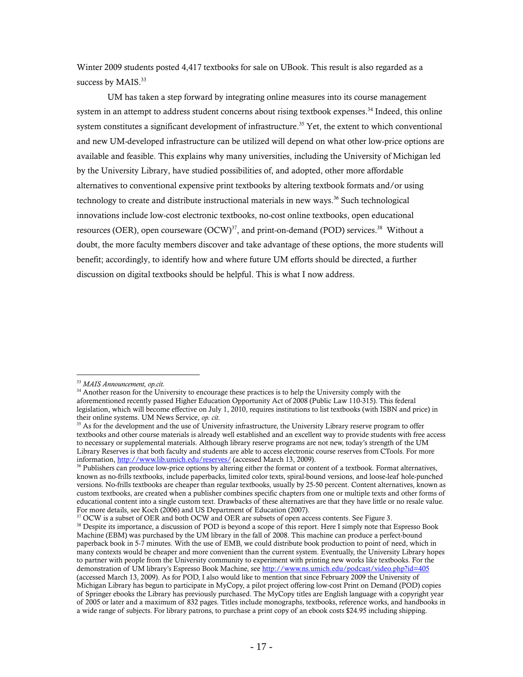Winter 2009 students posted 4,417 textbooks for sale on UBook. This result is also regarded as a success by MAIS.<sup>33</sup>

UM has taken a step forward by integrating online measures into its course management system in an attempt to address student concerns about rising textbook expenses.<sup>34</sup> Indeed, this online system constitutes a significant development of infrastructure.<sup>35</sup> Yet, the extent to which conventional and new UM-developed infrastructure can be utilized will depend on what other low-price options are available and feasible. This explains why many universities, including the University of Michigan led by the University Library, have studied possibilities of, and adopted, other more affordable alternatives to conventional expensive print textbooks by altering textbook formats and/or using technology to create and distribute instructional materials in new ways.<sup>36</sup> Such technological innovations include low-cost electronic textbooks, no-cost online textbooks, open educational resources (OER), open courseware  $(OCW)^{37}$ , and print-on-demand (POD) services.<sup>38</sup> Without a doubt, the more faculty members discover and take advantage of these options, the more students will benefit; accordingly, to identify how and where future UM efforts should be directed, a further discussion on digital textbooks should be helpful. This is what I now address.

<sup>33</sup> *MAIS Announcement, op.cit.*

<sup>&</sup>lt;sup>34</sup> Another reason for the University to encourage these practices is to help the University comply with the aforementioned recently passed Higher Education Opportunity Act of 2008 (Public Law 110-315). This federal legislation, which will become effective on July 1, 2010, requires institutions to list textbooks (with ISBN and price) in their online systems. UM News Service, *op. cit.*

<sup>&</sup>lt;sup>35</sup> As for the development and the use of University infrastructure, the University Library reserve program to offer textbooks and other course materials is already well established and an excellent way to provide students with free access to necessary or supplemental materials. Although library reserve programs are not new, today's strength of the UM Library Reserves is that both faculty and students are able to access electronic course reserves from CTools. For more information, http://www.lib.umich.edu/reserves/ (accessed March 13, 2009).

<sup>&</sup>lt;sup>36</sup> Publishers can produce low-price options by altering either the format or content of a textbook. Format alternatives, known as no-frills textbooks, include paperbacks, limited color texts, spiral-bound versions, and loose-leaf hole-punched versions. No-frills textbooks are cheaper than regular textbooks, usually by 25-50 percent. Content alternatives, known as custom textbooks, are created when a publisher combines specific chapters from one or multiple texts and other forms of educational content into a single custom text. Drawbacks of these alternatives are that they have little or no resale value. For more details, see Koch (2006) and US Department of Education (2007).<br><sup>37</sup> OCW is a subset of OER and both OCW and OER are subsets of open access contents. See Figure 3.

<sup>&</sup>lt;sup>38</sup> Despite its importance, a discussion of POD is beyond a scope of this report. Here I simply note that Espresso Book Machine (EBM) was purchased by the UM library in the fall of 2008. This machine can produce a perfect-bound paperback book in 5-7 minutes. With the use of EMB, we could distribute book production to point of need, which in many contexts would be cheaper and more convenient than the current system. Eventually, the University Library hopes to partner with people from the University community to experiment with printing new works like textbooks. For the demonstration of UM library's Espresso Book Machine, see http://www.ns.umich.edu/podcast/video.php?id=405 (accessed March 13, 2009). As for POD, I also would like to mention that since February 2009 the University of Michigan Library has begun to participate in MyCopy, a pilot project offering low-cost Print on Demand (POD) copies of Springer ebooks the Library has previously purchased. The MyCopy titles are English language with a copyright year of 2005 or later and a maximum of 832 pages. Titles include monographs, textbooks, reference works, and handbooks in a wide range of subjects. For library patrons, to purchase a print copy of an ebook costs \$24.95 including shipping.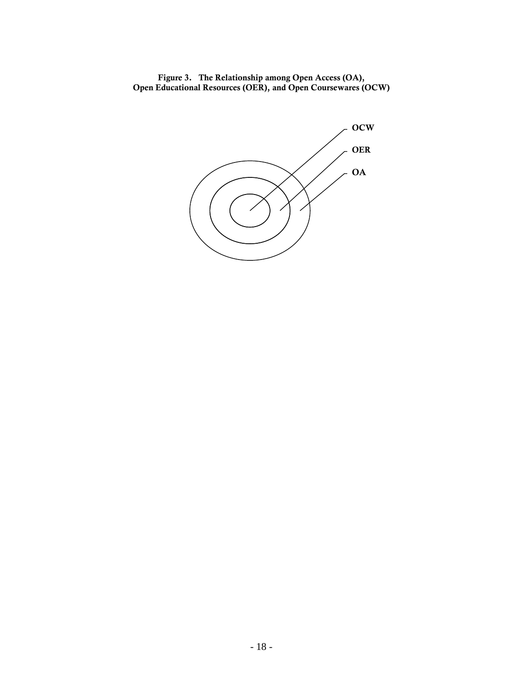Figure 3. The Relationship among Open Access (OA), Open Educational Resources (OER), and Open Coursewares (OCW)

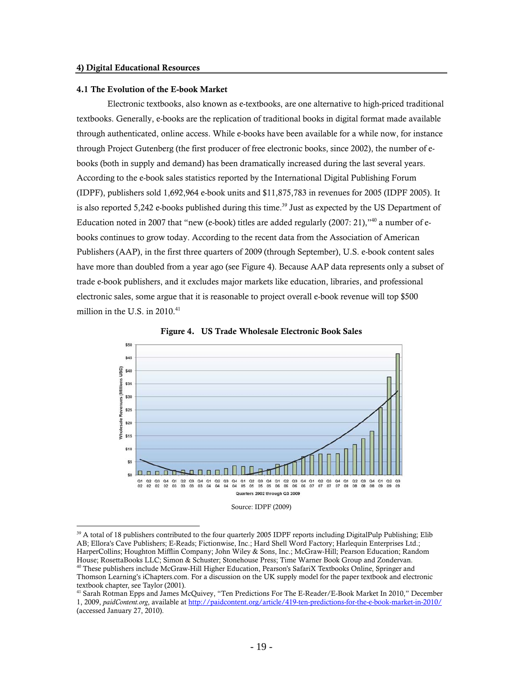#### 4.1 The Evolution of the E-book Market

Electronic textbooks, also known as e-textbooks, are one alternative to high-priced traditional textbooks. Generally, e-books are the replication of traditional books in digital format made available through authenticated, online access. While e-books have been available for a while now, for instance through Project Gutenberg (the first producer of free electronic books, since 2002), the number of ebooks (both in supply and demand) has been dramatically increased during the last several years. According to the e-book sales statistics reported by the International Digital Publishing Forum (IDPF), publishers sold 1,692,964 e-book units and \$11,875,783 in revenues for 2005 (IDPF 2005). It is also reported 5,242 e-books published during this time.<sup>39</sup> Just as expected by the US Department of Education noted in 2007 that "new (e-book) titles are added regularly (2007: 21),"<sup>40</sup> a number of ebooks continues to grow today. According to the recent data from the Association of American Publishers (AAP), in the first three quarters of 2009 (through September), U.S. e-book content sales have more than doubled from a year ago (see Figure 4). Because AAP data represents only a subset of trade e-book publishers, and it excludes major markets like education, libraries, and professional electronic sales, some argue that it is reasonable to project overall e-book revenue will top \$500 million in the U.S. in 2010.<sup>41</sup>



Figure 4. US Trade Wholesale Electronic Book Sales

Source: IDPF (2009)

 $\overline{a}$  $39$  A total of 18 publishers contributed to the four quarterly 2005 IDPF reports including DigitalPulp Publishing; Elib AB; Ellora's Cave Publishers; E-Reads; Fictionwise, Inc.; Hard Shell Word Factory; Harlequin Enterprises Ltd.; HarperCollins; Houghton Mifflin Company; John Wiley & Sons, Inc.; McGraw-Hill; Pearson Education; Random<br>House; RosettaBooks LLC; Simon & Schuster; Stonehouse Press; Time Warner Book Group and Zondervan. <sup>40</sup> These publishers include McGraw-Hill Higher Education, Pearson's SafariX Textbooks Online, Springer and

Thomson Learning's iChapters.com. For a discussion on the UK supply model for the paper textbook and electronic textbook chapter, see Taylor (2001).

<sup>41</sup> Sarah Rotman Epps and James McQuivey, "Ten Predictions For The E-Reader/E-Book Market In 2010," December 1, 2009, *paidContent.org*, available at http://paidcontent.org/article/419-ten-predictions-for-the-e-book-market-in-2010/ (accessed January 27, 2010).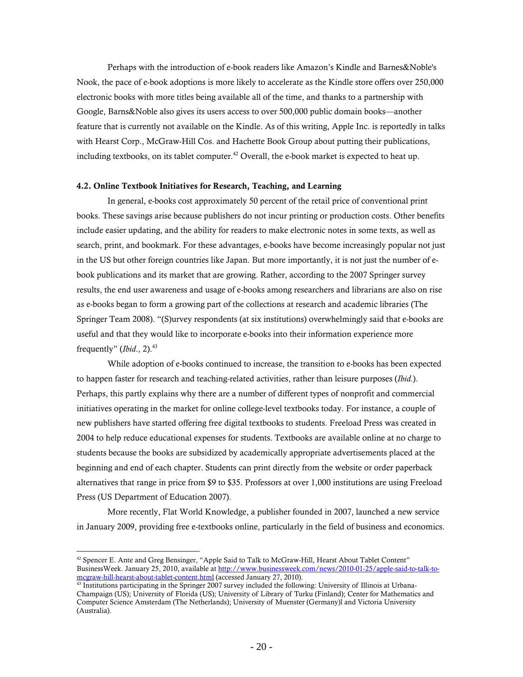Perhaps with the introduction of e-book readers like Amazon's Kindle and Barnes&Noble's Nook, the pace of e-book adoptions is more likely to accelerate as the Kindle store offers over 250,000 electronic books with more titles being available all of the time, and thanks to a partnership with Google, Barns&Noble also gives its users access to over 500,000 public domain books—another feature that is currently not available on the Kindle. As of this writing, Apple Inc. is reportedly in talks with Hearst Corp., McGraw-Hill Cos. and Hachette Book Group about putting their publications, including textbooks, on its tablet computer.<sup>42</sup> Overall, the e-book market is expected to heat up.

#### 4.2. Online Textbook Initiatives for Research, Teaching, and Learning

In general, e-books cost approximately 50 percent of the retail price of conventional print books. These savings arise because publishers do not incur printing or production costs. Other benefits include easier updating, and the ability for readers to make electronic notes in some texts, as well as search, print, and bookmark. For these advantages, e-books have become increasingly popular not just in the US but other foreign countries like Japan. But more importantly, it is not just the number of ebook publications and its market that are growing. Rather, according to the 2007 Springer survey results, the end user awareness and usage of e-books among researchers and librarians are also on rise as e-books began to form a growing part of the collections at research and academic libraries (The Springer Team 2008). "(S)urvey respondents (at six institutions) overwhelmingly said that e-books are useful and that they would like to incorporate e-books into their information experience more frequently" (*Ibid.*, 2).<sup>43</sup>

While adoption of e-books continued to increase, the transition to e-books has been expected to happen faster for research and teaching-related activities, rather than leisure purposes (*Ibid.*). Perhaps, this partly explains why there are a number of different types of nonprofit and commercial initiatives operating in the market for online college-level textbooks today. For instance, a couple of new publishers have started offering free digital textbooks to students. Freeload Press was created in 2004 to help reduce educational expenses for students. Textbooks are available online at no charge to students because the books are subsidized by academically appropriate advertisements placed at the beginning and end of each chapter. Students can print directly from the website or order paperback alternatives that range in price from \$9 to \$35. Professors at over 1,000 institutions are using Freeload Press (US Department of Education 2007).

More recently, Flat World Knowledge, a publisher founded in 2007, launched a new service in January 2009, providing free e-textbooks online, particularly in the field of business and economics.

 $42$  Spencer E. Ante and Greg Bensinger, "Apple Said to Talk to McGraw-Hill, Hearst About Tablet Content" BusinessWeek. January 25, 2010, available at http://www.businessweek.com/news/2010-01-25/apple-said-to-talk-tomcgraw-hill-hearst-about-tablet-content.html (accessed January 27, 2010).<br><sup>43</sup> Institutions participating in the Springer 2007 survey included the following: University of Illinois at Urbana-

Champaign (US); University of Florida (US); University of Library of Turku (Finland); Center for Mathematics and Computer Science Amsterdam (The Netherlands); University of Muenster (Germany)l and Victoria University (Australia).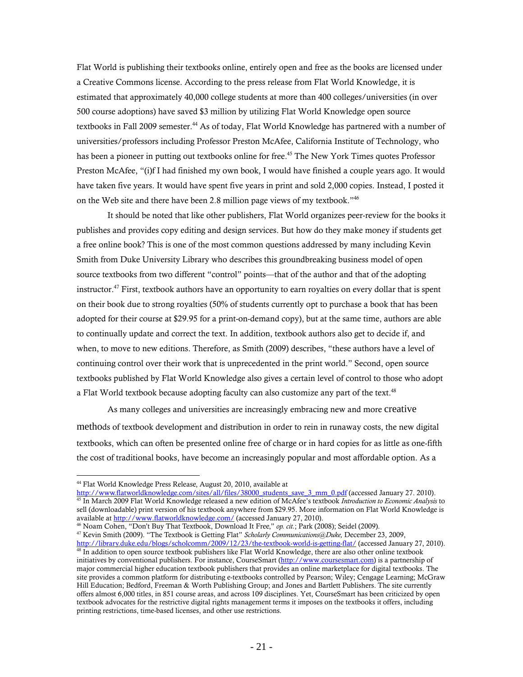Flat World is publishing their textbooks online, entirely open and free as the books are licensed under a Creative Commons license. According to the press release from Flat World Knowledge, it is estimated that approximately 40,000 college students at more than 400 colleges/universities (in over 500 course adoptions) have saved \$3 million by utilizing Flat World Knowledge open source textbooks in Fall 2009 semester.<sup>44</sup> As of today, Flat World Knowledge has partnered with a number of universities/professors including Professor Preston McAfee, California Institute of Technology, who has been a pioneer in putting out textbooks online for free.<sup>45</sup> The New York Times quotes Professor Preston McAfee, "(i)f I had finished my own book, I would have finished a couple years ago. It would have taken five years. It would have spent five years in print and sold 2,000 copies. Instead, I posted it on the Web site and there have been 2.8 million page views of my textbook."46

It should be noted that like other publishers, Flat World organizes peer-review for the books it publishes and provides copy editing and design services. But how do they make money if students get a free online book? This is one of the most common questions addressed by many including Kevin Smith from Duke University Library who describes this groundbreaking business model of open source textbooks from two different "control" points—that of the author and that of the adopting instructor.<sup>47</sup> First, textbook authors have an opportunity to earn royalties on every dollar that is spent on their book due to strong royalties (50% of students currently opt to purchase a book that has been adopted for their course at \$29.95 for a print-on-demand copy), but at the same time, authors are able to continually update and correct the text. In addition, textbook authors also get to decide if, and when, to move to new editions. Therefore, as Smith (2009) describes, "these authors have a level of continuing control over their work that is unprecedented in the print world." Second, open source textbooks published by Flat World Knowledge also gives a certain level of control to those who adopt a Flat World textbook because adopting faculty can also customize any part of the text. $48$ 

As many colleges and universities are increasingly embracing new and more creative methods of textbook development and distribution in order to rein in runaway costs, the new digital textbooks, which can often be presented online free of charge or in hard copies for as little as one-fifth the cost of traditional books, have become an increasingly popular and most affordable option. As a

<sup>44</sup> Flat World Knowledge Press Release, August 20, 2010, available at

http://www.flatworldknowledge.com/sites/all/files/38000 students save 3 mm 0.pdf (accessed January 27. 2010).<br><sup>45</sup> In March 2009 Flat World Knowledge released a new edition of McAfee's textbook *Introduction to Economic An* sell (downloadable) print version of his textbook anywhere from \$29.95. More information on Flat World Knowledge is available at http://www.flatworldknowledge.com/ (accessed January 27, 2010).

<sup>&</sup>lt;sup>46</sup> Noam Cohen, "Don't Buy That Textbook, Download It Free," op. cit.; Park (2008); Seidel (2009).<br><sup>47</sup> Kevin Smith (2009). "The Textbook is Getting Flat" *Scholarly Communications@Duke*, December 23, 2009,<br>http://library

 $48$  In addition to open source textbook publishers like Flat World Knowledge, there are also other online textbook initiatives by conventional publishers. For instance, CourseSmart (http://www.coursesmart.com) is a partnership of

major commercial higher education textbook publishers that provides an online marketplace for digital textbooks. The site provides a common platform for distributing e-textbooks controlled by Pearson; Wiley; Cengage Learning; McGraw Hill Education; Bedford, Freeman & Worth Publishing Group; and Jones and Bartlett Publishers. The site currently offers almost 6,000 titles, in 851 course areas, and across 109 disciplines. Yet, CourseSmart has been criticized by open textbook advocates for the restrictive digital rights management terms it imposes on the textbooks it offers, including printing restrictions, time-based licenses, and other use restrictions.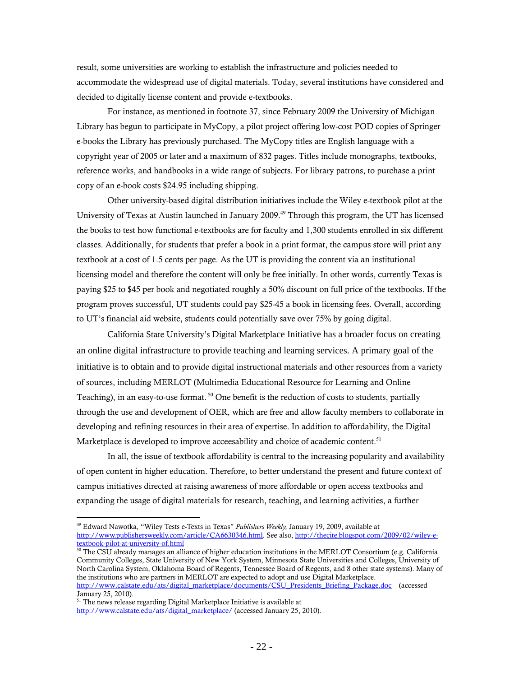result, some universities are working to establish the infrastructure and policies needed to accommodate the widespread use of digital materials. Today, several institutions have considered and decided to digitally license content and provide e-textbooks.

For instance, as mentioned in footnote 37, since February 2009 the University of Michigan Library has begun to participate in MyCopy, a pilot project offering low-cost POD copies of Springer e-books the Library has previously purchased. The MyCopy titles are English language with a copyright year of 2005 or later and a maximum of 832 pages. Titles include monographs, textbooks, reference works, and handbooks in a wide range of subjects. For library patrons, to purchase a print copy of an e-book costs \$24.95 including shipping.

Other university-based digital distribution initiatives include the Wiley e-textbook pilot at the University of Texas at Austin launched in January 2009.<sup>49</sup> Through this program, the UT has licensed the books to test how functional e-textbooks are for faculty and 1,300 students enrolled in six different classes. Additionally, for students that prefer a book in a print format, the campus store will print any textbook at a cost of 1.5 cents per page. As the UT is providing the content via an institutional licensing model and therefore the content will only be free initially. In other words, currently Texas is paying \$25 to \$45 per book and negotiated roughly a 50% discount on full price of the textbooks. If the program proves successful, UT students could pay \$25-45 a book in licensing fees. Overall, according to UT's financial aid website, students could potentially save over 75% by going digital.

California State University's Digital Marketplace Initiative has a broader focus on creating an online digital infrastructure to provide teaching and learning services. A primary goal of the initiative is to obtain and to provide digital instructional materials and other resources from a variety of sources, including MERLOT (Multimedia Educational Resource for Learning and Online Teaching), in an easy-to-use format.  $50$  One benefit is the reduction of costs to students, partially through the use and development of OER, which are free and allow faculty members to collaborate in developing and refining resources in their area of expertise. In addition to affordability, the Digital Marketplace is developed to improve acceesability and choice of academic content.<sup>51</sup>

In all, the issue of textbook affordability is central to the increasing popularity and availability of open content in higher education. Therefore, to better understand the present and future context of campus initiatives directed at raising awareness of more affordable or open access textbooks and expanding the usage of digital materials for research, teaching, and learning activities, a further

<sup>50</sup> The CSU already manages an alliance of higher education institutions in the MERLOT Consortium (e.g. California Community Colleges, State University of New York System, Minnesota State Universities and Colleges, University of North Carolina System, Oklahoma Board of Regents, Tennessee Board of Regents, and 8 other state systems). Many of the institutions who are partners in MERLOT are expected to adopt and use Digital Marketplace. http://www.calstate.edu/ats/digital\_marketplace/documents/CSU\_Presidents\_Briefing\_Package.doc (accessed January 25, 2010).

 $\overline{a}$ 49 Edward Nawotka, "Wiley Tests e-Texts in Texas" *Publishers Weekly,* January 19, 2009, available at http://www.publishersweekly.com/article/CA6630346.html. See also, http://thecite.blogspot.com/2009/02/wiley-etextbook-pilot-at-university-of.html

<sup>&</sup>lt;sup>51</sup> The news release regarding Digital Marketplace Initiative is available at http://www.calstate.edu/ats/digital\_marketplace/ (accessed January 25, 2010).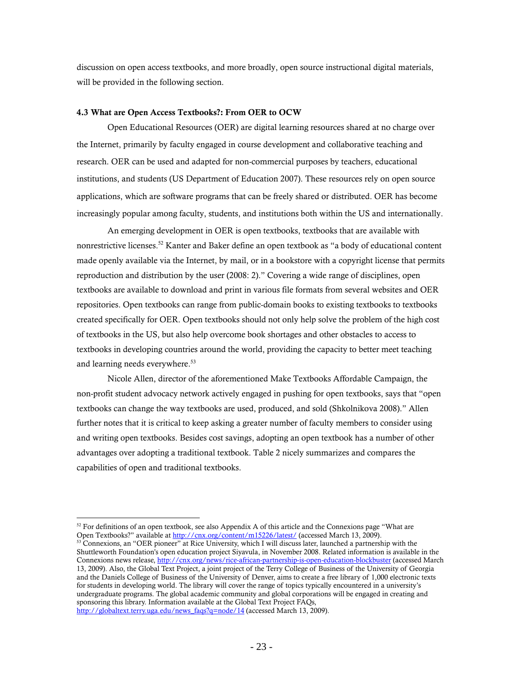discussion on open access textbooks, and more broadly, open source instructional digital materials, will be provided in the following section.

#### 4.3 What are Open Access Textbooks?: From OER to OCW

Open Educational Resources (OER) are digital learning resources shared at no charge over the Internet, primarily by faculty engaged in course development and collaborative teaching and research. OER can be used and adapted for non-commercial purposes by teachers, educational institutions, and students (US Department of Education 2007). These resources rely on open source applications, which are software programs that can be freely shared or distributed. OER has become increasingly popular among faculty, students, and institutions both within the US and internationally.

An emerging development in OER is open textbooks, textbooks that are available with nonrestrictive licenses.<sup>52</sup> Kanter and Baker define an open textbook as "a body of educational content made openly available via the Internet, by mail, or in a bookstore with a copyright license that permits reproduction and distribution by the user (2008: 2)." Covering a wide range of disciplines, open textbooks are available to download and print in various file formats from several websites and OER repositories. Open textbooks can range from public-domain books to existing textbooks to textbooks created specifically for OER. Open textbooks should not only help solve the problem of the high cost of textbooks in the US, but also help overcome book shortages and other obstacles to access to textbooks in developing countries around the world, providing the capacity to better meet teaching and learning needs everywhere.<sup>53</sup>

Nicole Allen, director of the aforementioned Make Textbooks Affordable Campaign, the non-profit student advocacy network actively engaged in pushing for open textbooks, says that "open textbooks can change the way textbooks are used, produced, and sold (Shkolnikova 2008)." Allen further notes that it is critical to keep asking a greater number of faculty members to consider using and writing open textbooks. Besides cost savings, adopting an open textbook has a number of other advantages over adopting a traditional textbook. Table 2 nicely summarizes and compares the capabilities of open and traditional textbooks.

<sup>&</sup>lt;sup>52</sup> For definitions of an open textbook, see also Appendix A of this article and the Connexions page "What are Open Textbooks?" available at  $\frac{http://cnx.org/content/m15226/latest/}$  (accessed March 13, 2009).

<sup>&</sup>lt;sup>53</sup> Connexions, an "OER pioneer" at Rice University, which I will discuss later, launched a partnership with the Shuttleworth Foundation's open education project Siyavula, in November 2008. Related information is available in the Connexions news release, http://cnx.org/news/rice-african-partnership-is-open-education-blockbuster (accessed March 13, 2009). Also, the Global Text Project, a joint project of the Terry College of Business of the University of Georgia and the Daniels College of Business of the University of Denver, aims to create a free library of 1,000 electronic texts for students in developing world. The library will cover the range of topics typically encountered in a university's undergraduate programs. The global academic community and global corporations will be engaged in creating and sponsoring this library. Information available at the Global Text Project FAQs, http://globaltext.terry.uga.edu/news\_faqs?q=node/14 (accessed March 13, 2009).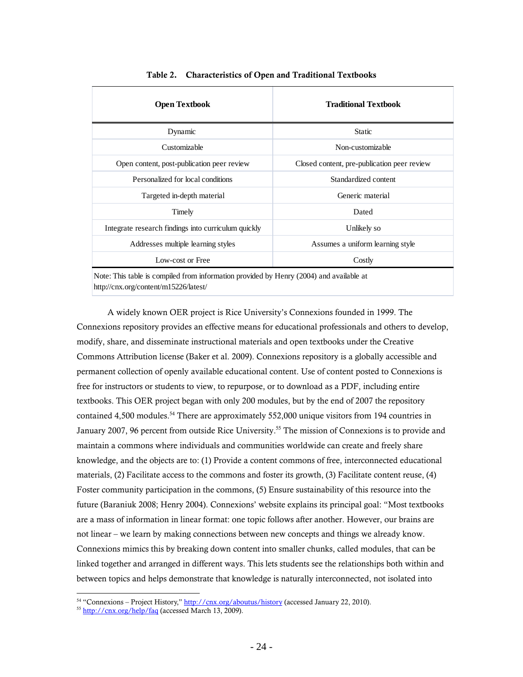| <b>Open Textbook</b>                                                                    | <b>Traditional Textbook</b>                 |  |  |  |
|-----------------------------------------------------------------------------------------|---------------------------------------------|--|--|--|
| Dynamic                                                                                 | <b>Static</b>                               |  |  |  |
| Customizable                                                                            | Non-customizable                            |  |  |  |
| Open content, post-publication peer review                                              | Closed content, pre-publication peer review |  |  |  |
| Personalized for local conditions                                                       | Standardized content                        |  |  |  |
| Targeted in-depth material                                                              | Generic material                            |  |  |  |
| Timely                                                                                  | Dated                                       |  |  |  |
| Integrate research findings into curriculum quickly                                     | Unlikely so                                 |  |  |  |
| Addresses multiple learning styles                                                      | Assumes a uniform learning style            |  |  |  |
| Low-cost or Free                                                                        | Costly                                      |  |  |  |
| Note: This table is compiled from information provided by Henry (2004) and available at |                                             |  |  |  |

Table 2. Characteristics of Open and Traditional Textbooks

http://cnx.org/content/m15226/latest/

A widely known OER project is Rice University's Connexions founded in 1999. The Connexions repository provides an effective means for educational professionals and others to develop, modify, share, and disseminate instructional materials and open textbooks under the Creative Commons Attribution license (Baker et al. 2009). Connexions repository is a globally accessible and permanent collection of openly available educational content. Use of content posted to Connexions is free for instructors or students to view, to repurpose, or to download as a PDF, including entire textbooks. This OER project began with only 200 modules, but by the end of 2007 the repository contained 4,500 modules.<sup>54</sup> There are approximately 552,000 unique visitors from 194 countries in January 2007, 96 percent from outside Rice University.<sup>55</sup> The mission of Connexions is to provide and maintain a commons where individuals and communities worldwide can create and freely share knowledge, and the objects are to: (1) Provide a content commons of free, interconnected educational materials, (2) Facilitate access to the commons and foster its growth, (3) Facilitate content reuse, (4) Foster community participation in the commons, (5) Ensure sustainability of this resource into the future (Baraniuk 2008; Henry 2004). Connexions' website explains its principal goal: "Most textbooks are a mass of information in linear format: one topic follows after another. However, our brains are not linear – we learn by making connections between new concepts and things we already know. Connexions mimics this by breaking down content into smaller chunks, called modules, that can be linked together and arranged in different ways. This lets students see the relationships both within and between topics and helps demonstrate that knowledge is naturally interconnected, not isolated into

 $\overline{a}$ <sup>54</sup> "Connexions – Project History," <u>http://cnx.org/aboutus/history</u> (accessed January 22, 2010).<br><sup>55</sup> <u>http://cnx.org/help/faq</u> (accessed March 13, 2009).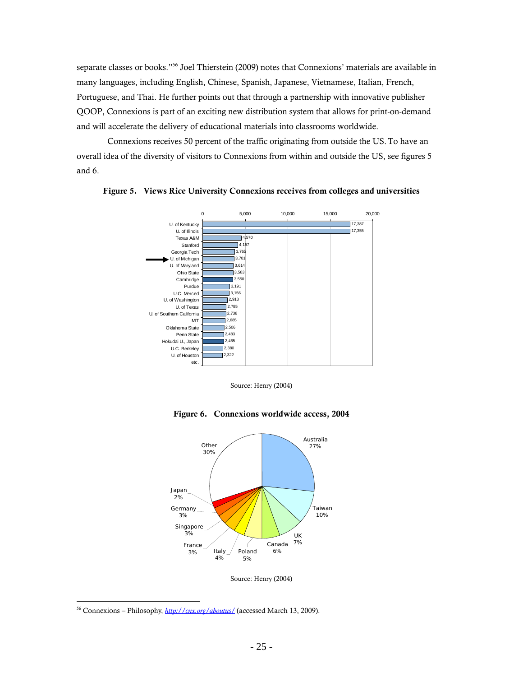separate classes or books."<sup>56</sup> Joel Thierstein (2009) notes that Connexions' materials are available in many languages, including English, Chinese, Spanish, Japanese, Vietnamese, Italian, French, Portuguese, and Thai. He further points out that through a partnership with innovative publisher QOOP, Connexions is part of an exciting new distribution system that allows for print-on-demand and will accelerate the delivery of educational materials into classrooms worldwide.

Connexions receives 50 percent of the traffic originating from outside the US.To have an overall idea of the diversity of visitors to Connexions from within and outside the US, see figures 5 and 6.



Figure 5. Views Rice University Connexions receives from colleges and universities

Source: Henry (2004)



Figure 6. Connexions worldwide access, 2004

Source: Henry (2004)

<sup>56</sup> Connexions – Philosophy, *http://cnx.org/aboutus/* (accessed March 13, 2009).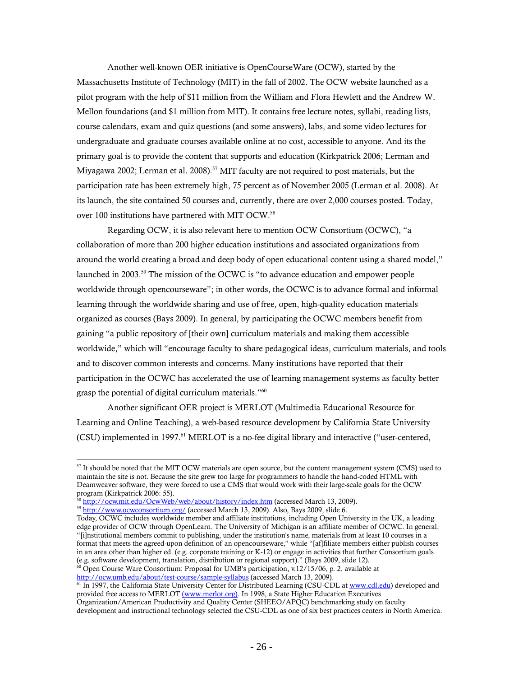Another well-known OER initiative is OpenCourseWare (OCW), started by the Massachusetts Institute of Technology (MIT) in the fall of 2002. The OCW website launched as a pilot program with the help of \$11 million from the William and Flora Hewlett and the Andrew W. Mellon foundations (and \$1 million from MIT). It contains free lecture notes, syllabi, reading lists, course calendars, exam and quiz questions (and some answers), labs, and some video lectures for undergraduate and graduate courses available online at no cost, accessible to anyone. And its the primary goal is to provide the content that supports and education (Kirkpatrick 2006; Lerman and Miyagawa 2002; Lerman et al. 2008).<sup>57</sup> MIT faculty are not required to post materials, but the participation rate has been extremely high, 75 percent as of November 2005 (Lerman et al. 2008). At its launch, the site contained 50 courses and, currently, there are over 2,000 courses posted. Today, over 100 institutions have partnered with MIT OCW.<sup>58</sup>

Regarding OCW, it is also relevant here to mention OCW Consortium (OCWC), "a collaboration of more than 200 higher education institutions and associated organizations from around the world creating a broad and deep body of open educational content using a shared model," launched in 2003.59 The mission of the OCWC is "to advance education and empower people worldwide through opencourseware"; in other words, the OCWC is to advance formal and informal learning through the worldwide sharing and use of free, open, high-quality education materials organized as courses (Bays 2009). In general, by participating the OCWC members benefit from gaining "a public repository of [their own] curriculum materials and making them accessible worldwide," which will "encourage faculty to share pedagogical ideas, curriculum materials, and tools and to discover common interests and concerns. Many institutions have reported that their participation in the OCWC has accelerated the use of learning management systems as faculty better grasp the potential of digital curriculum materials."<sup>60</sup>

Another significant OER project is MERLOT (Multimedia Educational Resource for Learning and Online Teaching), a web-based resource development by California State University (CSU) implemented in 1997.<sup>61</sup> MERLOT is a no-fee digital library and interactive ("user-centered,

<sup>&</sup>lt;sup>57</sup> It should be noted that the MIT OCW materials are open source, but the content management system (CMS) used to maintain the site is not. Because the site grew too large for programmers to handle the hand-coded HTML with Deamweaver software, they were forced to use a CMS that would work with their large-scale goals for the OCW program (Kirkpatrick 2006: 55).<br><sup>58</sup> http://ocw.mit.edu/OcwWeb/web/about/history/index.htm (accessed March 13, 2009).

<sup>&</sup>lt;sup>59</sup> http://www.ocwconsortium.org/ (accessed March 13, 2009). Also, Bays 2009, slide 6.

Today, OCWC includes worldwide member and affiliate institutions, including Open University in the UK, a leading edge provider of OCW through OpenLearn. The University of Michigan is an affiliate member of OCWC. In general, "[i]nstitutional members commit to publishing, under the institution's name, materials from at least 10 courses in a format that meets the agreed-upon definition of an opencourseware," while "[af]filiate members either publish courses in an area other than higher ed. (e.g. corporate training or K-12) or engage in activities that further Consortium goals (e.g. software development, translation, distribution or regional support)." (Bays 2009, slide 12).<br><sup>60</sup> Open Course Ware Consortium: Proposal for UMB's participation, v.12/15/06, p. 2, available at http://ocw.umb.edu/abo

<sup>&</sup>lt;sup>61</sup> In 1997, the California State University Center for Distributed Learning (CSU-CDL at www.cdl.edu) developed and provided free access to MERLOT (www.merlot.org). In 1998, a State Higher Education Executives Organization/American Productivity and Quality Center (SHEEO/APQC) benchmarking study on faculty development and instructional technology selected the CSU-CDL as one of six best practices centers in North America.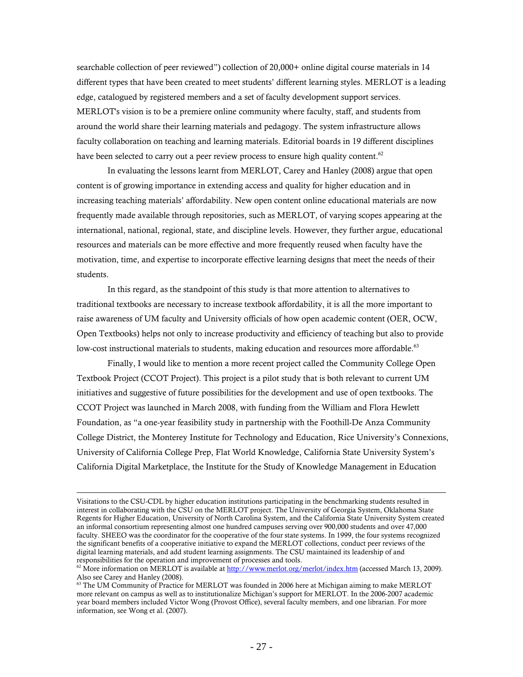searchable collection of peer reviewed") collection of 20,000+ online digital course materials in 14 different types that have been created to meet students' different learning styles. MERLOT is a leading edge, catalogued by registered members and a set of faculty development support services. MERLOT's vision is to be a premiere online community where faculty, staff, and students from around the world share their learning materials and pedagogy. The system infrastructure allows faculty collaboration on teaching and learning materials. Editorial boards in 19 different disciplines have been selected to carry out a peer review process to ensure high quality content.<sup>62</sup>

In evaluating the lessons learnt from MERLOT, Carey and Hanley (2008) argue that open content is of growing importance in extending access and quality for higher education and in increasing teaching materials' affordability. New open content online educational materials are now frequently made available through repositories, such as MERLOT, of varying scopes appearing at the international, national, regional, state, and discipline levels. However, they further argue, educational resources and materials can be more effective and more frequently reused when faculty have the motivation, time, and expertise to incorporate effective learning designs that meet the needs of their students.

In this regard, as the standpoint of this study is that more attention to alternatives to traditional textbooks are necessary to increase textbook affordability, it is all the more important to raise awareness of UM faculty and University officials of how open academic content (OER, OCW, Open Textbooks) helps not only to increase productivity and efficiency of teaching but also to provide low-cost instructional materials to students, making education and resources more affordable.<sup>63</sup>

Finally, I would like to mention a more recent project called the Community College Open Textbook Project (CCOT Project). This project is a pilot study that is both relevant to current UM initiatives and suggestive of future possibilities for the development and use of open textbooks. The CCOT Project was launched in March 2008, with funding from the William and Flora Hewlett Foundation, as "a one-year feasibility study in partnership with the Foothill-De Anza Community College District, the Monterey Institute for Technology and Education, Rice University's Connexions, University of California College Prep, Flat World Knowledge, California State University System's California Digital Marketplace, the Institute for the Study of Knowledge Management in Education

Visitations to the CSU-CDL by higher education institutions participating in the benchmarking students resulted in interest in collaborating with the CSU on the MERLOT project. The University of Georgia System, Oklahoma State Regents for Higher Education, University of North Carolina System, and the California State University System created an informal consortium representing almost one hundred campuses serving over 900,000 students and over 47,000 faculty. SHEEO was the coordinator for the cooperative of the four state systems. In 1999, the four systems recognized the significant benefits of a cooperative initiative to expand the MERLOT collections, conduct peer reviews of the digital learning materials, and add student learning assignments. The CSU maintained its leadership of and responsibilities for the operation and improvement of processes and tools.

responsibilities for the operation and improvement of provement of provement of provement of provement of  $\frac{13}{2009}$ . Also see Carey and Hanley (2008).

<sup>&</sup>lt;sup>63</sup> The UM Community of Practice for MERLOT was founded in 2006 here at Michigan aiming to make MERLOT more relevant on campus as well as to institutionalize Michigan's support for MERLOT. In the 2006-2007 academic year board members included Victor Wong (Provost Office), several faculty members, and one librarian. For more information, see Wong et al. (2007).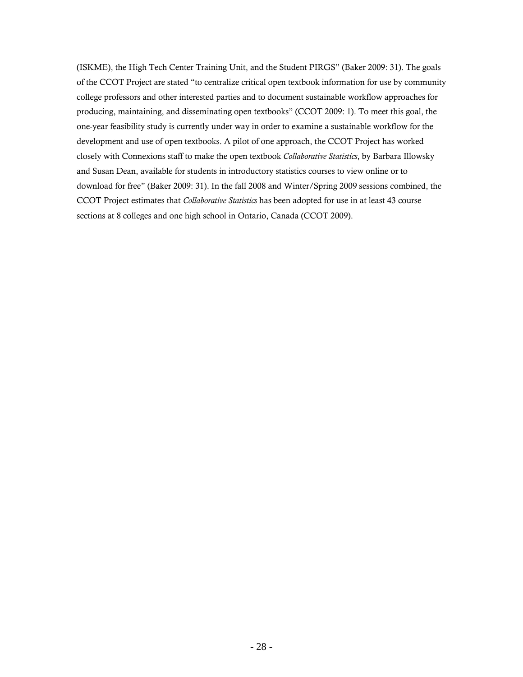(ISKME), the High Tech Center Training Unit, and the Student PIRGS" (Baker 2009: 31). The goals of the CCOT Project are stated "to centralize critical open textbook information for use by community college professors and other interested parties and to document sustainable workflow approaches for producing, maintaining, and disseminating open textbooks" (CCOT 2009: 1). To meet this goal, the one-year feasibility study is currently under way in order to examine a sustainable workflow for the development and use of open textbooks. A pilot of one approach, the CCOT Project has worked closely with Connexions staff to make the open textbook *Collaborative Statistics*, by Barbara Illowsky and Susan Dean, available for students in introductory statistics courses to view online or to download for free" (Baker 2009: 31). In the fall 2008 and Winter/Spring 2009 sessions combined, the CCOT Project estimates that *Collaborative Statistics* has been adopted for use in at least 43 course sections at 8 colleges and one high school in Ontario, Canada (CCOT 2009).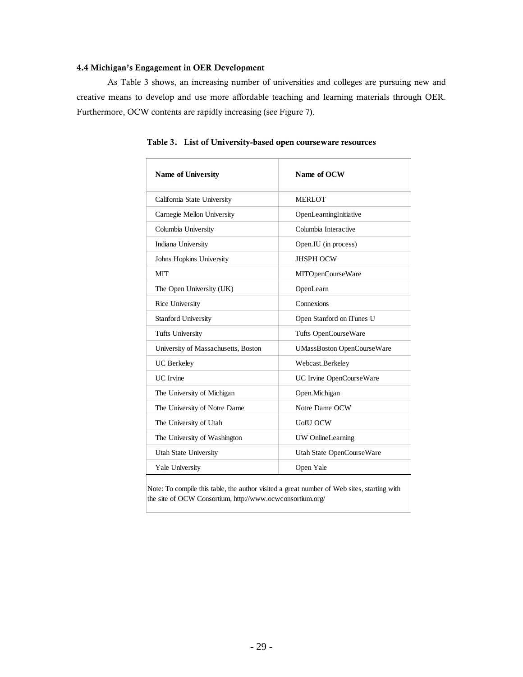#### 4.4 Michigan's Engagement in OER Development

As Table 3 shows, an increasing number of universities and colleges are pursuing new and creative means to develop and use more affordable teaching and learning materials through OER. Furthermore, OCW contents are rapidly increasing (see Figure 7).

| <b>Name of University</b>           | Name of OCW                       |
|-------------------------------------|-----------------------------------|
| California State University         | <b>MERLOT</b>                     |
| Carnegie Mellon University          | OpenLearningInitiative            |
| Columbia University                 | Columbia Interactive              |
| Indiana University                  | Open.IU (in process)              |
| Johns Hopkins University            | <b>JHSPH OCW</b>                  |
| <b>MIT</b>                          | MITOpenCourseWare                 |
| The Open University (UK)            | OpenLearn                         |
| Rice University                     | Connexions                        |
| <b>Stanford University</b>          | Open Stanford on iTunes U         |
| <b>Tufts University</b>             | Tufts OpenCourseWare              |
| University of Massachusetts, Boston | <b>UMassBoston OpenCourseWare</b> |
| <b>UC</b> Berkeley                  | Webcast.Berkeley                  |
| <b>UC</b> Irvine                    | UC Irvine OpenCourseWare          |
| The University of Michigan          | Open.Michigan                     |
| The University of Notre Dame        | Notre Dame OCW                    |
| The University of Utah              | <b>UofU OCW</b>                   |
| The University of Washington        | UW OnlineLearning                 |
| <b>Utah State University</b>        | Utah State OpenCourseWare         |
| Yale University                     | Open Yale                         |

Table 3. List of University-based open courseware resources

Note: To compile this table, the author visited a great number of Web sites, starting with the site of OCW Consortium, http://www.ocwconsortium.org/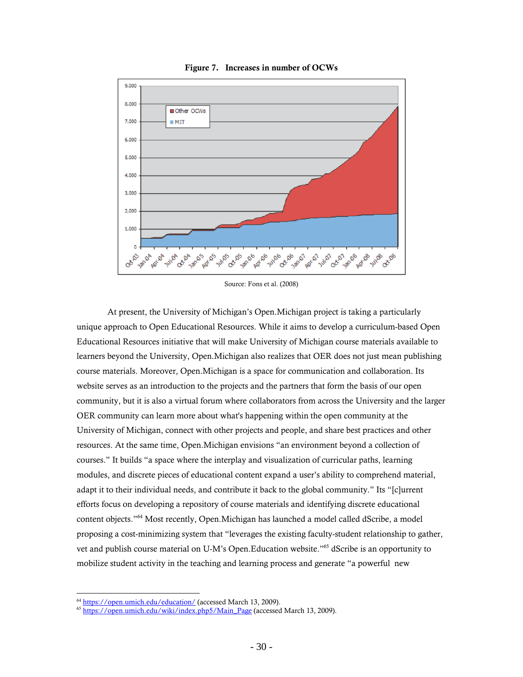

Figure 7. Increases in number of OCWs

Source: Fons et al. (2008)

At present, the University of Michigan's Open.Michigan project is taking a particularly unique approach to Open Educational Resources. While it aims to develop a curriculum-based Open Educational Resources initiative that will make University of Michigan course materials available to learners beyond the University, Open.Michigan also realizes that OER does not just mean publishing course materials. Moreover, Open.Michigan is a space for communication and collaboration. Its website serves as an introduction to the projects and the partners that form the basis of our open community, but it is also a virtual forum where collaborators from across the University and the larger OER community can learn more about what's happening within the open community at the University of Michigan, connect with other projects and people, and share best practices and other resources. At the same time, Open.Michigan envisions "an environment beyond a collection of courses." It builds "a space where the interplay and visualization of curricular paths, learning modules, and discrete pieces of educational content expand a user's ability to comprehend material, adapt it to their individual needs, and contribute it back to the global community." Its "[c]urrent efforts focus on developing a repository of course materials and identifying discrete educational content objects."64 Most recently, Open.Michigan has launched a model called dScribe, a model proposing a cost-minimizing system that "leverages the existing faculty-student relationship to gather, vet and publish course material on U-M's Open.Education website."65 dScribe is an opportunity to mobilize student activity in the teaching and learning process and generate "a powerful new

<sup>&</sup>lt;sup>64</sup> https://open.umich.edu/education/ (accessed March 13, 2009).<br><sup>65</sup> https://open.umich.edu/wiki/index.php5/Main\_Page (accessed March 13, 2009).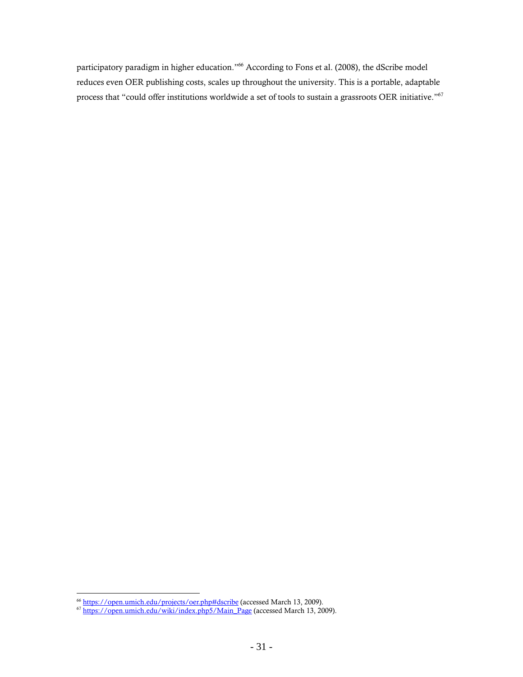participatory paradigm in higher education."66 According to Fons et al. (2008), the dScribe model reduces even OER publishing costs, scales up throughout the university. This is a portable, adaptable process that "could offer institutions worldwide a set of tools to sustain a grassroots OER initiative."67

 $\overline{a}$ 

<sup>&</sup>lt;sup>66</sup> https://open.umich.edu/projects/oer.php#dscribe (accessed March 13, 2009).<br><sup>67</sup> https://open.umich.edu/wiki/index.php5/Main\_Page (accessed March 13, 2009).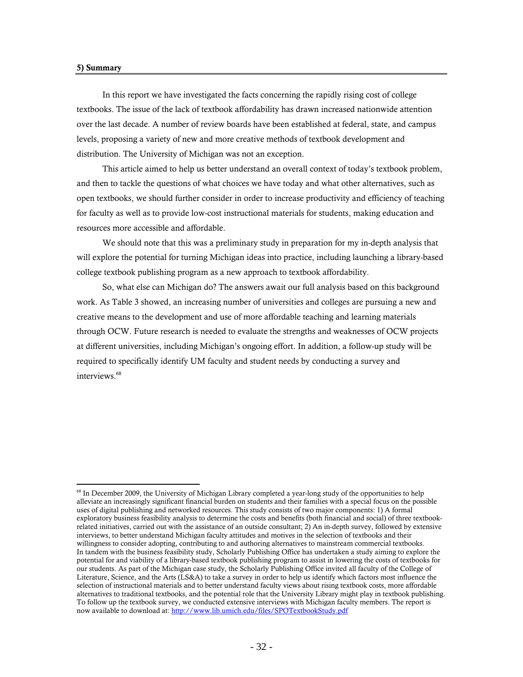#### 5) Summary

 $\overline{a}$ 

In this report we have investigated the facts concerning the rapidly rising cost of college textbooks. The issue of the lack of textbook affordability has drawn increased nationwide attention over the last decade. A number of review boards have been established at federal, state, and campus levels, proposing a variety of new and more creative methods of textbook development and distribution. The University of Michigan was not an exception.

This article aimed to help us better understand an overall context of today's textbook problem, and then to tackle the questions of what choices we have today and what other alternatives, such as open textbooks, we should further consider in order to increase productivity and efficiency of teaching for faculty as well as to provide low-cost instructional materials for students, making education and resources more accessible and affordable.

We should note that this was a preliminary study in preparation for my in-depth analysis that will explore the potential for turning Michigan ideas into practice, including launching a library-based college textbook publishing program as a new approach to textbook affordability.

So, what else can Michigan do? The answers await our full analysis based on this background work. As Table 3 showed, an increasing number of universities and colleges are pursuing a new and creative means to the development and use of more affordable teaching and learning materials through OCW. Future research is needed to evaluate the strengths and weaknesses of OCW projects at different universities, including Michigan's ongoing effort. In addition, a follow-up study will be required to specifically identify UM faculty and student needs by conducting a survey and interviews.<sup>68</sup>

<sup>&</sup>lt;sup>68</sup> In December 2009, the University of Michigan Library completed a year-long study of the opportunities to help alleviate an increasingly significant financial burden on students and their families with a special focus on the possible uses of digital publishing and networked resources. This study consists of two major components: 1) A formal exploratory business feasibility analysis to determine the costs and benefits (both financial and social) of three textbookrelated initiatives, carried out with the assistance of an outside consultant; 2) An in-depth survey, followed by extensive interviews, to better understand Michigan faculty attitudes and motives in the selection of textbooks and their willingness to consider adopting, contributing to and authoring alternatives to mainstream commercial textbooks. In tandem with the business feasibility study, Scholarly Publishing Office has undertaken a study aiming to explore the potential for and viability of a library-based textbook publishing program to assist in lowering the costs of textbooks for our students. As part of the Michigan case study, the Scholarly Publishing Office invited all faculty of the College of Literature, Science, and the Arts (LS&A) to take a survey in order to help us identify which factors most influence the selection of instructional materials and to better understand faculty views about rising textbook costs, more affordable alternatives to traditional textbooks, and the potential role that the University Library might play in textbook publishing. To follow up the textbook survey, we conducted extensive interviews with Michigan faculty members. The report is now available to download at: http://www.lib.umich.edu/files/SPOTextbookStudy.pdf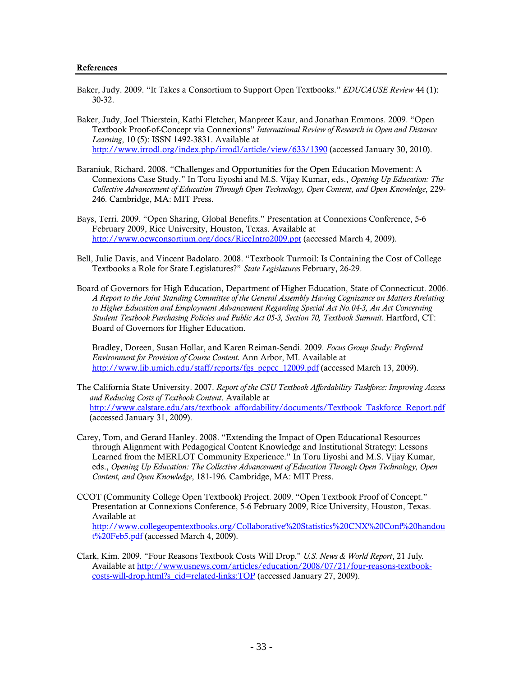#### References

- Baker, Judy. 2009. "It Takes a Consortium to Support Open Textbooks." *EDUCAUSE Review* 44 (1): 30-32.
- Baker, Judy, Joel Thierstein, Kathi Fletcher, Manpreet Kaur, and Jonathan Emmons. 2009. "Open Textbook Proof-of-Concept via Connexions" *International Review of Research in Open and Distance Learning*, 10 (5): ISSN 1492-3831. Available at http://www.irrodl.org/index.php/irrodl/article/view/633/1390 (accessed January 30, 2010).
- Baraniuk, Richard. 2008. "Challenges and Opportunities for the Open Education Movement: A Connexions Case Study." In Toru Iiyoshi and M.S. Vijay Kumar, eds., *Opening Up Education: The Collective Advancement of Education Through Open Technology, Open Content, and Open Knowledge*, 229- 246*.* Cambridge, MA: MIT Press.
- Bays, Terri. 2009. "Open Sharing, Global Benefits." Presentation at Connexions Conference, 5-6 February 2009, Rice University, Houston, Texas. Available at http://www.ocwconsortium.org/docs/RiceIntro2009.ppt (accessed March 4, 2009).
- Bell, Julie Davis, and Vincent Badolato. 2008. "Textbook Turmoil: Is Containing the Cost of College Textbooks a Role for State Legislatures?" *State Legislatures* February, 26-29.
- Board of Governors for High Education, Department of Higher Education, State of Connecticut. 2006. *A Report to the Joint Standing Committee of the General Assembly Having Cognizance on Matters Rrelating to Higher Education and Employment Advancement Regarding Special Act No.04-3, An Act Concerning Student Textbook Purchasing Policies and Public Act 05-3, Section 70, Textbook Summit.* Hartford, CT: Board of Governors for Higher Education.

Bradley, Doreen, Susan Hollar, and Karen Reiman-Sendi. 2009. *Focus Group Study: Preferred Environment for Provision of Course Content.* Ann Arbor, MI. Available at http://www.lib.umich.edu/staff/reports/fgs\_pepcc\_12009.pdf (accessed March 13, 2009).

- The California State University. 2007. *Report of the CSU Textbook Affordability Taskforce: Improving Access and Reducing Costs of Textbook Content*. Available at http://www.calstate.edu/ats/textbook\_affordability/documents/Textbook\_Taskforce\_Report.pdf (accessed January 31, 2009).
- Carey, Tom, and Gerard Hanley. 2008. "Extending the Impact of Open Educational Resources through Alignment with Pedagogical Content Knowledge and Institutional Strategy: Lessons Learned from the MERLOT Community Experience." In Toru Iiyoshi and M.S. Vijay Kumar, eds., *Opening Up Education: The Collective Advancement of Education Through Open Technology, Open Content, and Open Knowledge*, 181-196*.* Cambridge, MA: MIT Press.
- CCOT (Community College Open Textbook) Project. 2009. "Open Textbook Proof of Concept." Presentation at Connexions Conference, 5-6 February 2009, Rice University, Houston, Texas. Available at http://www.collegeopentextbooks.org/Collaborative%20Statistics%20CNX%20Conf%20handou t<sup>%20Feb5.pdf</sup> (accessed March 4, 2009).
- Clark, Kim. 2009. "Four Reasons Textbook Costs Will Drop." *U.S. News & World Report*, 21 July. Available at http://www.usnews.com/articles/education/2008/07/21/four-reasons-textbookcosts-will-drop.html?s\_cid=related-links:TOP (accessed January 27, 2009).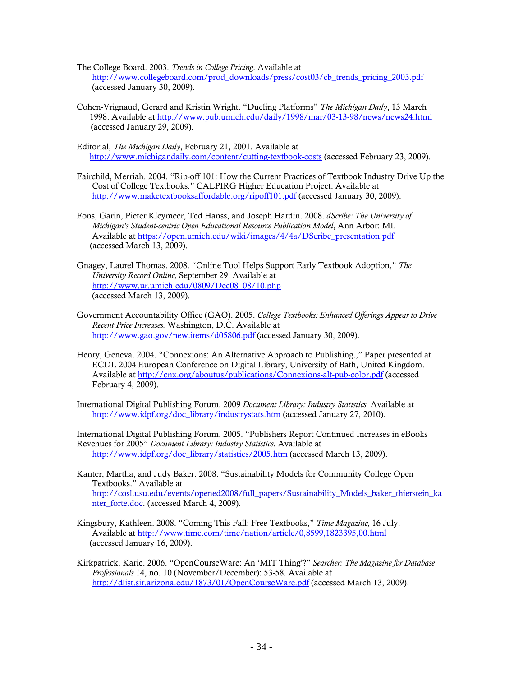- The College Board. 2003. *Trends in College Pricing.* Available at http://www.collegeboard.com/prod\_downloads/press/cost03/cb\_trends\_pricing\_2003.pdf (accessed January 30, 2009).
- Cohen-Vrignaud, Gerard and Kristin Wright. "Dueling Platforms" *The Michigan Daily*, 13 March 1998. Available at http://www.pub.umich.edu/daily/1998/mar/03-13-98/news/news24.html (accessed January 29, 2009).
- Editorial, *The Michigan Daily*, February 21, 2001. Available at http://www.michigandaily.com/content/cutting-textbook-costs (accessed February 23, 2009).
- Fairchild, Merriah. 2004. "Rip-off 101: How the Current Practices of Textbook Industry Drive Up the Cost of College Textbooks." CALPIRG Higher Education Project. Available at http://www.maketextbooksaffordable.org/ripoff101.pdf (accessed January 30, 2009).
- Fons, Garin, Pieter Kleymeer, Ted Hanss, and Joseph Hardin. 2008. *dScribe: The University of Michigan's Student-centric Open Educational Resource Publication Model*, Ann Arbor: MI. Available at https://open.umich.edu/wiki/images/4/4a/DScribe\_presentation.pdf (accessed March 13, 2009).
- Gnagey, Laurel Thomas. 2008. "Online Tool Helps Support Early Textbook Adoption," *The University Record Online,* September 29. Available at http://www.ur.umich.edu/0809/Dec08\_08/10.php (accessed March 13, 2009).
- Government Accountability Office (GAO). 2005. *College Textbooks: Enhanced Offerings Appear to Drive Recent Price Increases.* Washington, D.C. Available at http://www.gao.gov/new.items/d05806.pdf (accessed January 30, 2009).
- Henry, Geneva. 2004. "Connexions: An Alternative Approach to Publishing.," Paper presented at ECDL 2004 European Conference on Digital Library, University of Bath, United Kingdom. Available at http://cnx.org/aboutus/publications/Connexions-alt-pub-color.pdf (accessed February 4, 2009).

International Digital Publishing Forum. 2009 *Document Library: Industry Statistics.* Available at http://www.idpf.org/doc\_library/industrystats.htm (accessed January 27, 2010).

International Digital Publishing Forum. 2005. "Publishers Report Continued Increases in eBooks Revenues for 2005" *Document Library: Industry Statistics.* Available at http://www.idpf.org/doc\_library/statistics/2005.htm (accessed March 13, 2009).

- Kanter, Martha, and Judy Baker. 2008. "Sustainability Models for Community College Open Textbooks." Available at http://cosl.usu.edu/events/opened2008/full\_papers/Sustainability\_Models\_baker\_thierstein\_ka nter\_forte.doc. (accessed March 4, 2009).
- Kingsbury, Kathleen. 2008. "Coming This Fall: Free Textbooks," *Time Magazine,* 16 July. Available at http://www.time.com/time/nation/article/0,8599,1823395,00.html (accessed January 16, 2009).
- Kirkpatrick, Karie. 2006. "OpenCourseWare: An 'MIT Thing'?" *Searcher: The Magazine for Database Professionals* 14, no. 10 (November/December): 53-58. Available at http://dlist.sir.arizona.edu/1873/01/OpenCourseWare.pdf (accessed March 13, 2009).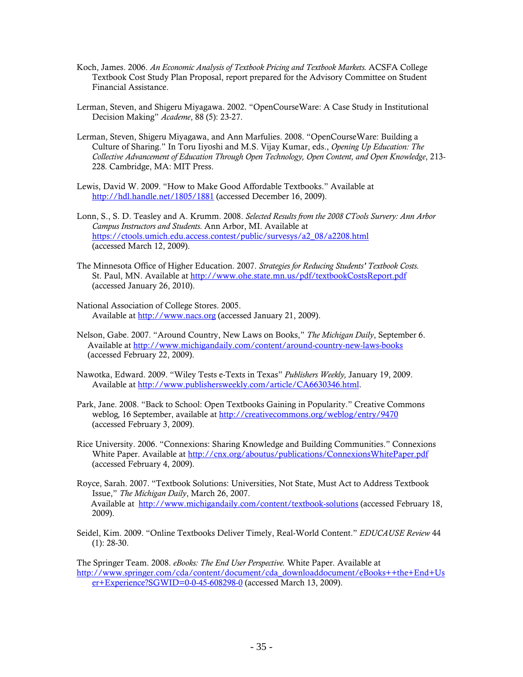- Koch, James. 2006. *An Economic Analysis of Textbook Pricing and Textbook Markets.* ACSFA College Textbook Cost Study Plan Proposal, report prepared for the Advisory Committee on Student Financial Assistance.
- Lerman, Steven, and Shigeru Miyagawa. 2002. "OpenCourseWare: A Case Study in Institutional Decision Making" *Academe*, 88 (5): 23-27.
- Lerman, Steven, Shigeru Miyagawa, and Ann Marfulies. 2008. "OpenCourseWare: Building a Culture of Sharing." In Toru Iiyoshi and M.S. Vijay Kumar, eds., *Opening Up Education: The Collective Advancement of Education Through Open Technology, Open Content, and Open Knowledge*, 213- 228*.* Cambridge, MA: MIT Press.
- Lewis, David W. 2009. "How to Make Good Affordable Textbooks." Available at http://hdl.handle.net/1805/1881 (accessed December 16, 2009).
- Lonn, S., S. D. Teasley and A. Krumm. 2008. *Selected Results from the 2008 CTools Survery: Ann Arbor Campus Instructors and Students.* Ann Arbor, MI. Available at https://ctools.umich.edu.access.contest/public/survesys/a2\_08/a2208.html (accessed March 12, 2009).
- The Minnesota Office of Higher Education. 2007. *Strategies for Reducing Students' Textbook Costs.* St. Paul, MN. Available at http://www.ohe.state.mn.us/pdf/textbookCostsReport.pdf (accessed January 26, 2010).
- National Association of College Stores. 2005. Available at http://www.nacs.org (accessed January 21, 2009).
- Nelson, Gabe. 2007. "Around Country, New Laws on Books," *The Michigan Daily*, September 6. Available at http://www.michigandaily.com/content/around-country-new-laws-books (accessed February 22, 2009).
- Nawotka, Edward. 2009. "Wiley Tests e-Texts in Texas" *Publishers Weekly,* January 19, 2009. Available at http://www.publishersweekly.com/article/CA6630346.html.
- Park, Jane. 2008. "Back to School: Open Textbooks Gaining in Popularity." Creative Commons weblog*,* 16 September, available at http://creativecommons.org/weblog/entry/9470 (accessed February 3, 2009).
- Rice University. 2006. "Connexions: Sharing Knowledge and Building Communities." Connexions White Paper. Available at http://cnx.org/aboutus/publications/ConnexionsWhitePaper.pdf (accessed February 4, 2009).
- Royce, Sarah. 2007. "Textbook Solutions: Universities, Not State, Must Act to Address Textbook Issue," *The Michigan Daily*, March 26, 2007. Available at http://www.michigandaily.com/content/textbook-solutions (accessed February 18, 2009).
- Seidel, Kim. 2009. "Online Textbooks Deliver Timely, Real-World Content." *EDUCAUSE Review* 44 (1): 28-30.

The Springer Team. 2008. *eBooks: The End User Perspective.* White Paper. Available at http://www.springer.com/cda/content/document/cda\_downloaddocument/eBooks++the+End+Us er+Experience?SGWID=0-0-45-608298-0 (accessed March 13, 2009).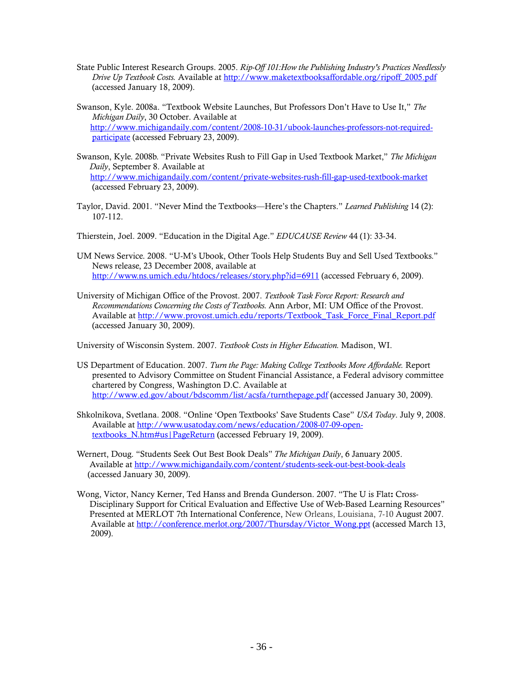- State Public Interest Research Groups. 2005. *Rip-Off 101:How the Publishing Industry's Practices Needlessly Drive Up Textbook Costs.* Available at http://www.maketextbooksaffordable.org/ripoff\_2005.pdf (accessed January 18, 2009).
- Swanson, Kyle. 2008a. "Textbook Website Launches, But Professors Don't Have to Use It," *The Michigan Daily*, 30 October. Available at http://www.michigandaily.com/content/2008-10-31/ubook-launches-professors-not-requiredparticipate (accessed February 23, 2009).
- Swanson, Kyle. 2008b. "Private Websites Rush to Fill Gap in Used Textbook Market," *The Michigan Daily*, September 8. Available at http://www.michigandaily.com/content/private-websites-rush-fill-gap-used-textbook-market (accessed February 23, 2009).
- Taylor, David. 2001. "Never Mind the Textbooks—Here's the Chapters." *Learned Publishing* 14 (2): 107-112.
- Thierstein, Joel. 2009. "Education in the Digital Age." *EDUCAUSE Review* 44 (1): 33-34.
- UM News Service. 2008. "U-M's Ubook, Other Tools Help Students Buy and Sell Used Textbooks." News release, 23 December 2008, available at http://www.ns.umich.edu/htdocs/releases/story.php?id=6911 (accessed February 6, 2009).
- University of Michigan Office of the Provost. 2007. *Textbook Task Force Report: Research and Recommendations Concerning the Costs of Textbooks.* Ann Arbor, MI: UM Office of the Provost. Available at http://www.provost.umich.edu/reports/Textbook\_Task\_Force\_Final\_Report.pdf (accessed January 30, 2009).

University of Wisconsin System. 2007. *Textbook Costs in Higher Education.* Madison, WI.

- US Department of Education. 2007. *Turn the Page: Making College Textbooks More Affordable.* Report presented to Advisory Committee on Student Financial Assistance, a Federal advisory committee chartered by Congress, Washington D.C. Available at http://www.ed.gov/about/bdscomm/list/acsfa/turnthepage.pdf (accessed January 30, 2009).
- Shkolnikova, Svetlana. 2008. "Online 'Open Textbooks' Save Students Case" *USA Today*. July 9, 2008. Available at http://www.usatoday.com/news/education/2008-07-09-opentextbooks N.htm#us|PageReturn (accessed February 19, 2009).

Wernert, Doug. "Students Seek Out Best Book Deals" *The Michigan Daily*, 6 January 2005. Available at http://www.michigandaily.com/content/students-seek-out-best-book-deals (accessed January 30, 2009).

Wong, Victor, Nancy Kerner, Ted Hanss and Brenda Gunderson. 2007. "The U is Flat: Cross-Disciplinary Support for Critical Evaluation and Effective Use of Web-Based Learning Resources" Presented at MERLOT 7th International Conference, New Orleans, Louisiana, 7-10 August 2007. Available at http://conference.merlot.org/2007/Thursday/Victor\_Wong.ppt (accessed March 13, 2009).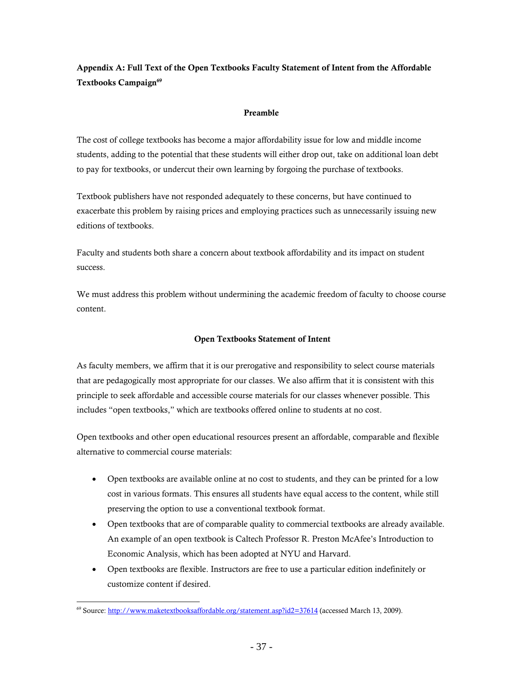Appendix A: Full Text of the Open Textbooks Faculty Statement of Intent from the Affordable Textbooks Campaign<sup>69</sup>

### Preamble

The cost of college textbooks has become a major affordability issue for low and middle income students, adding to the potential that these students will either drop out, take on additional loan debt to pay for textbooks, or undercut their own learning by forgoing the purchase of textbooks.

Textbook publishers have not responded adequately to these concerns, but have continued to exacerbate this problem by raising prices and employing practices such as unnecessarily issuing new editions of textbooks.

Faculty and students both share a concern about textbook affordability and its impact on student success.

We must address this problem without undermining the academic freedom of faculty to choose course content.

# Open Textbooks Statement of Intent

As faculty members, we affirm that it is our prerogative and responsibility to select course materials that are pedagogically most appropriate for our classes. We also affirm that it is consistent with this principle to seek affordable and accessible course materials for our classes whenever possible. This includes "open textbooks," which are textbooks offered online to students at no cost.

Open textbooks and other open educational resources present an affordable, comparable and flexible alternative to commercial course materials:

- Open textbooks are available online at no cost to students, and they can be printed for a low cost in various formats. This ensures all students have equal access to the content, while still preserving the option to use a conventional textbook format.
- Open textbooks that are of comparable quality to commercial textbooks are already available. An example of an open textbook is Caltech Professor R. Preston McAfee's Introduction to Economic Analysis, which has been adopted at NYU and Harvard.
- Open textbooks are flexible. Instructors are free to use a particular edition indefinitely or customize content if desired.

 $\overline{a}$ 69 Source: http://www.maketextbooksaffordable.org/statement.asp?id2=37614 (accessed March 13, 2009).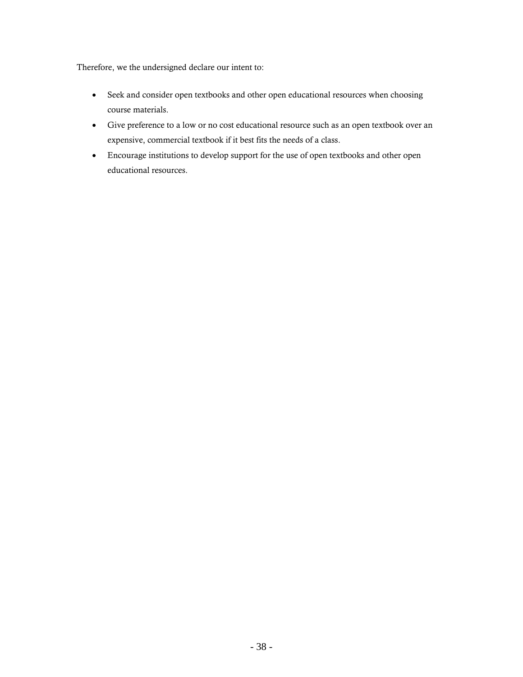Therefore, we the undersigned declare our intent to:

- Seek and consider open textbooks and other open educational resources when choosing course materials.
- Give preference to a low or no cost educational resource such as an open textbook over an expensive, commercial textbook if it best fits the needs of a class.
- Encourage institutions to develop support for the use of open textbooks and other open educational resources.